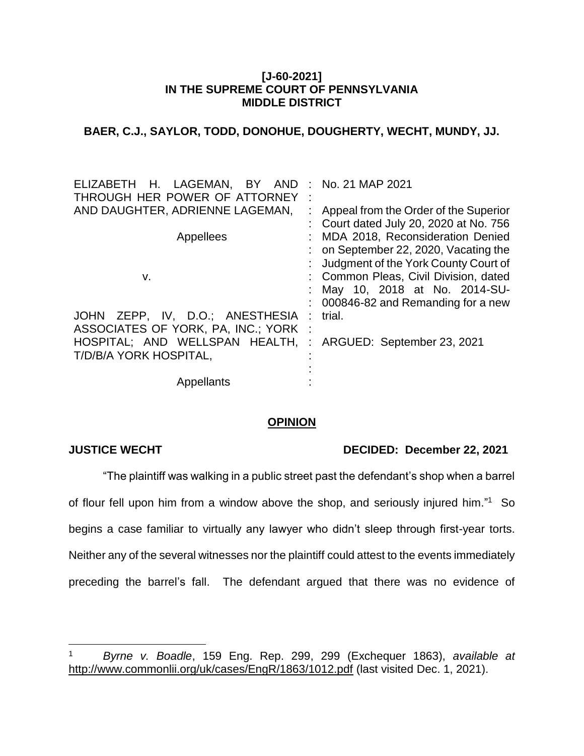#### **[J-60-2021] IN THE SUPREME COURT OF PENNSYLVANIA MIDDLE DISTRICT**

## **BAER, C.J., SAYLOR, TODD, DONOHUE, DOUGHERTY, WECHT, MUNDY, JJ.**

| ELIZABETH H. LAGEMAN, BY<br>AND    |              | : No. 21 MAP 2021                     |
|------------------------------------|--------------|---------------------------------------|
| THROUGH HER POWER OF ATTORNEY      |              |                                       |
| AND DAUGHTER, ADRIENNE LAGEMAN,    |              | Appeal from the Order of the Superior |
|                                    |              | Court dated July 20, 2020 at No. 756  |
| Appellees                          |              | MDA 2018, Reconsideration Denied      |
|                                    |              | on September 22, 2020, Vacating the   |
|                                    |              | Judgment of the York County Court of  |
| v.                                 |              | : Common Pleas, Civil Division, dated |
|                                    |              | May 10, 2018 at No. 2014-SU-          |
|                                    |              | 000846-82 and Remanding for a new     |
| JOHN ZEPP, IV, D.O.; ANESTHESIA    |              | trial.                                |
| ASSOCIATES OF YORK, PA, INC.; YORK | $\mathbb{R}$ |                                       |
| HOSPITAL; AND WELLSPAN HEALTH,     | ÷            | ARGUED: September 23, 2021            |
| T/D/B/A YORK HOSPITAL,             |              |                                       |
|                                    |              |                                       |
| Appellants                         |              |                                       |

#### **OPINION**

 $\overline{a}$ 

#### **JUSTICE WECHT DECIDED: December 22, 2021**

"The plaintiff was walking in a public street past the defendant's shop when a barrel of flour fell upon him from a window above the shop, and seriously injured him."<sup>1</sup> So begins a case familiar to virtually any lawyer who didn't sleep through first-year torts. Neither any of the several witnesses nor the plaintiff could attest to the events immediately preceding the barrel's fall. The defendant argued that there was no evidence of

<sup>1</sup> *Byrne v. Boadle*, 159 Eng. Rep. 299, 299 (Exchequer 1863), *available at* http://www.commonlii.org/uk/cases/EngR/1863/1012.pdf (last visited Dec. 1, 2021).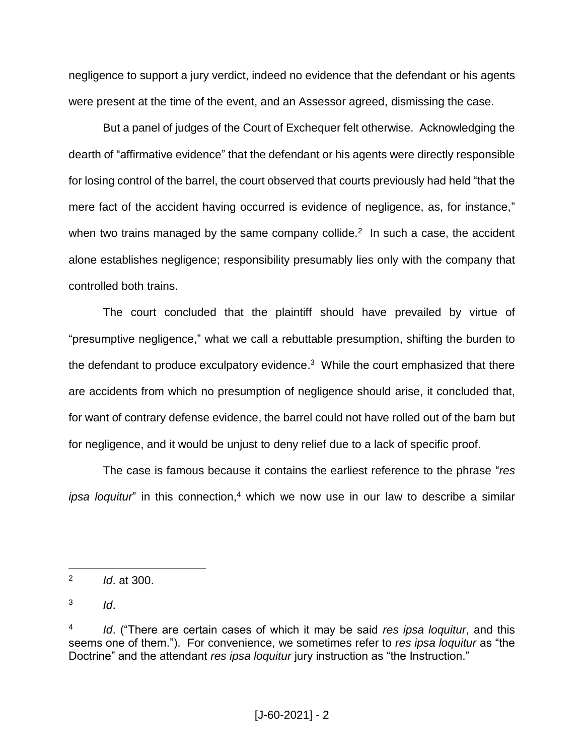negligence to support a jury verdict, indeed no evidence that the defendant or his agents were present at the time of the event, and an Assessor agreed, dismissing the case.

But a panel of judges of the Court of Exchequer felt otherwise. Acknowledging the dearth of "affirmative evidence" that the defendant or his agents were directly responsible for losing control of the barrel, the court observed that courts previously had held "that the mere fact of the accident having occurred is evidence of negligence, as, for instance," when two trains managed by the same company collide. $2$  In such a case, the accident alone establishes negligence; responsibility presumably lies only with the company that controlled both trains.

The court concluded that the plaintiff should have prevailed by virtue of "presumptive negligence," what we call a rebuttable presumption, shifting the burden to the defendant to produce exculpatory evidence.<sup>3</sup> While the court emphasized that there are accidents from which no presumption of negligence should arise, it concluded that, for want of contrary defense evidence, the barrel could not have rolled out of the barn but for negligence, and it would be unjust to deny relief due to a lack of specific proof.

The case is famous because it contains the earliest reference to the phrase "*res ipsa loquitur*" in this connection, <sup>4</sup> which we now use in our law to describe a similar

3 *Id*.

<sup>2</sup> *Id*. at 300.

<sup>4</sup> *Id*. ("There are certain cases of which it may be said *res ipsa loquitur*, and this seems one of them."). For convenience, we sometimes refer to *res ipsa loquitur* as "the Doctrine" and the attendant *res ipsa loquitur* jury instruction as "the Instruction."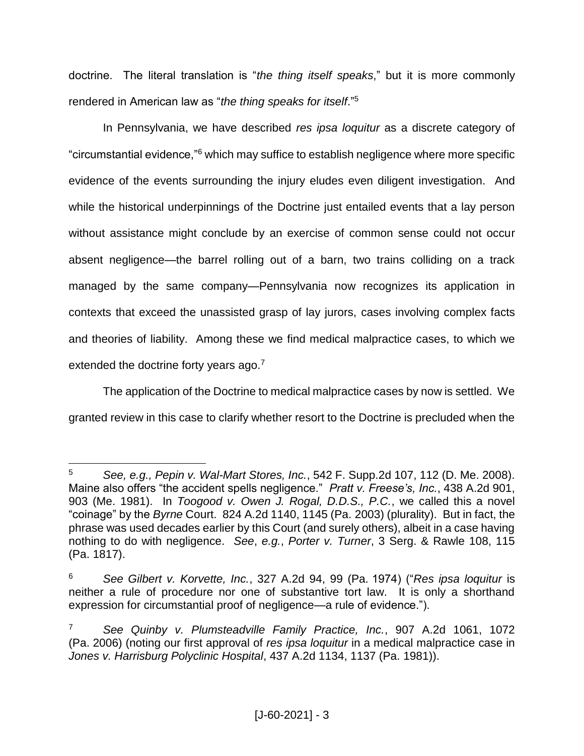doctrine. The literal translation is "*the thing itself speaks*," but it is more commonly rendered in American law as "*the thing speaks for itself*." 5

In Pennsylvania, we have described *res ipsa loquitur* as a discrete category of "circumstantial evidence,"<sup>6</sup> which may suffice to establish negligence where more specific evidence of the events surrounding the injury eludes even diligent investigation. And while the historical underpinnings of the Doctrine just entailed events that a lay person without assistance might conclude by an exercise of common sense could not occur absent negligence—the barrel rolling out of a barn, two trains colliding on a track managed by the same company—Pennsylvania now recognizes its application in contexts that exceed the unassisted grasp of lay jurors, cases involving complex facts and theories of liability. Among these we find medical malpractice cases, to which we extended the doctrine forty years ago.<sup>7</sup>

The application of the Doctrine to medical malpractice cases by now is settled. We granted review in this case to clarify whether resort to the Doctrine is precluded when the

 $\overline{a}$ <sup>5</sup> *See, e.g., Pepin v. Wal-Mart Stores, Inc.*, 542 F. Supp.2d 107, 112 (D. Me. 2008). Maine also offers "the accident spells negligence." *Pratt v. Freese's, Inc.*, 438 A.2d 901, 903 (Me. 1981). In *Toogood v. Owen J. Rogal, D.D.S., P.C.*, we called this a novel "coinage" by the *Byrne* Court. 824 A.2d 1140, 1145 (Pa. 2003) (plurality). But in fact, the phrase was used decades earlier by this Court (and surely others), albeit in a case having nothing to do with negligence. *See*, *e.g.*, *Porter v. Turner*, 3 Serg. & Rawle 108, 115 (Pa. 1817).

<sup>6</sup> *See Gilbert v. Korvette, Inc.*, 327 A.2d 94, 99 (Pa. 1974) ("*Res ipsa loquitur* is neither a rule of procedure nor one of substantive tort law. It is only a shorthand expression for circumstantial proof of negligence—a rule of evidence.").

<sup>7</sup> *See Quinby v. Plumsteadville Family Practice, Inc.*, 907 A.2d 1061, 1072 (Pa. 2006) (noting our first approval of *res ipsa loquitur* in a medical malpractice case in *Jones v. Harrisburg Polyclinic Hospital*, 437 A.2d 1134, 1137 (Pa. 1981)).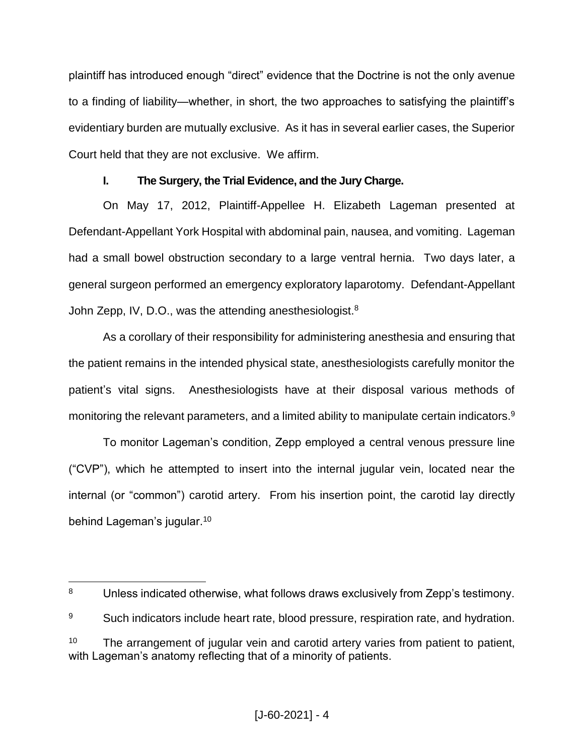plaintiff has introduced enough "direct" evidence that the Doctrine is not the only avenue to a finding of liability—whether, in short, the two approaches to satisfying the plaintiff's evidentiary burden are mutually exclusive. As it has in several earlier cases, the Superior Court held that they are not exclusive. We affirm.

## **I. The Surgery, the Trial Evidence, and the Jury Charge.**

On May 17, 2012, Plaintiff-Appellee H. Elizabeth Lageman presented at Defendant-Appellant York Hospital with abdominal pain, nausea, and vomiting. Lageman had a small bowel obstruction secondary to a large ventral hernia. Two days later, a general surgeon performed an emergency exploratory laparotomy. Defendant-Appellant John Zepp, IV, D.O., was the attending anesthesiologist.<sup>8</sup>

As a corollary of their responsibility for administering anesthesia and ensuring that the patient remains in the intended physical state, anesthesiologists carefully monitor the patient's vital signs. Anesthesiologists have at their disposal various methods of monitoring the relevant parameters, and a limited ability to manipulate certain indicators.<sup>9</sup>

To monitor Lageman's condition, Zepp employed a central venous pressure line ("CVP"), which he attempted to insert into the internal jugular vein, located near the internal (or "common") carotid artery. From his insertion point, the carotid lay directly behind Lageman's jugular. 10

 $\overline{a}$ <sup>8</sup> Unless indicated otherwise, what follows draws exclusively from Zepp's testimony.

<sup>&</sup>lt;sup>9</sup> Such indicators include heart rate, blood pressure, respiration rate, and hydration.

 $10$  The arrangement of jugular vein and carotid artery varies from patient to patient, with Lageman's anatomy reflecting that of a minority of patients.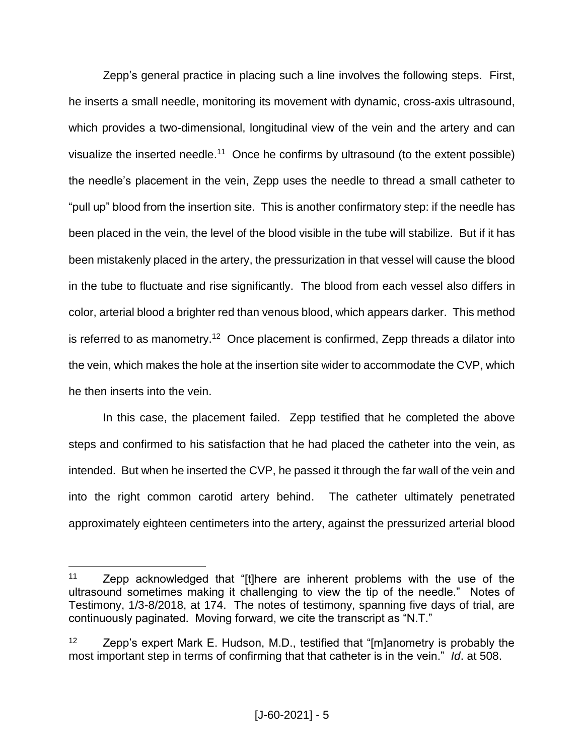Zepp's general practice in placing such a line involves the following steps. First, he inserts a small needle, monitoring its movement with dynamic, cross-axis ultrasound, which provides a two-dimensional, longitudinal view of the vein and the artery and can visualize the inserted needle.<sup>11</sup> Once he confirms by ultrasound (to the extent possible) the needle's placement in the vein, Zepp uses the needle to thread a small catheter to "pull up" blood from the insertion site. This is another confirmatory step: if the needle has been placed in the vein, the level of the blood visible in the tube will stabilize. But if it has been mistakenly placed in the artery, the pressurization in that vessel will cause the blood in the tube to fluctuate and rise significantly. The blood from each vessel also differs in color, arterial blood a brighter red than venous blood, which appears darker. This method is referred to as manometry.<sup>12</sup> Once placement is confirmed, Zepp threads a dilator into the vein, which makes the hole at the insertion site wider to accommodate the CVP, which he then inserts into the vein.

In this case, the placement failed. Zepp testified that he completed the above steps and confirmed to his satisfaction that he had placed the catheter into the vein, as intended. But when he inserted the CVP, he passed it through the far wall of the vein and into the right common carotid artery behind. The catheter ultimately penetrated approximately eighteen centimeters into the artery, against the pressurized arterial blood

<sup>11</sup> Zepp acknowledged that "[t]here are inherent problems with the use of the ultrasound sometimes making it challenging to view the tip of the needle." Notes of Testimony, 1/3-8/2018, at 174. The notes of testimony, spanning five days of trial, are continuously paginated. Moving forward, we cite the transcript as "N.T."

 $12$  Zepp's expert Mark E. Hudson, M.D., testified that "[m]anometry is probably the most important step in terms of confirming that that catheter is in the vein." *Id*. at 508.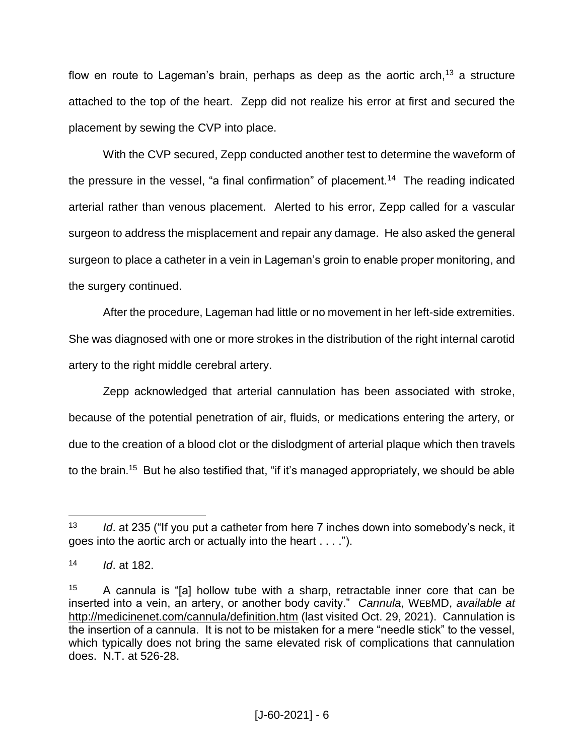flow en route to Lageman's brain, perhaps as deep as the aortic arch,<sup>13</sup> a structure attached to the top of the heart. Zepp did not realize his error at first and secured the placement by sewing the CVP into place.

With the CVP secured, Zepp conducted another test to determine the waveform of the pressure in the vessel, "a final confirmation" of placement.<sup>14</sup> The reading indicated arterial rather than venous placement. Alerted to his error, Zepp called for a vascular surgeon to address the misplacement and repair any damage. He also asked the general surgeon to place a catheter in a vein in Lageman's groin to enable proper monitoring, and the surgery continued.

After the procedure, Lageman had little or no movement in her left-side extremities. She was diagnosed with one or more strokes in the distribution of the right internal carotid artery to the right middle cerebral artery.

Zepp acknowledged that arterial cannulation has been associated with stroke, because of the potential penetration of air, fluids, or medications entering the artery, or due to the creation of a blood clot or the dislodgment of arterial plaque which then travels to the brain.<sup>15</sup> But he also testified that, "if it's managed appropriately, we should be able

<sup>13</sup> *Id*. at 235 ("If you put a catheter from here 7 inches down into somebody's neck, it goes into the aortic arch or actually into the heart . . . .").

<sup>14</sup> *Id*. at 182.

 $15$  A cannula is "[a] hollow tube with a sharp, retractable inner core that can be inserted into a vein, an artery, or another body cavity." *Cannula*, WEBMD, *available at*  <http://medicinenet.com/cannula/definition.htm> (last visited Oct. 29, 2021). Cannulation is the insertion of a cannula. It is not to be mistaken for a mere "needle stick" to the vessel, which typically does not bring the same elevated risk of complications that cannulation does. N.T. at 526-28.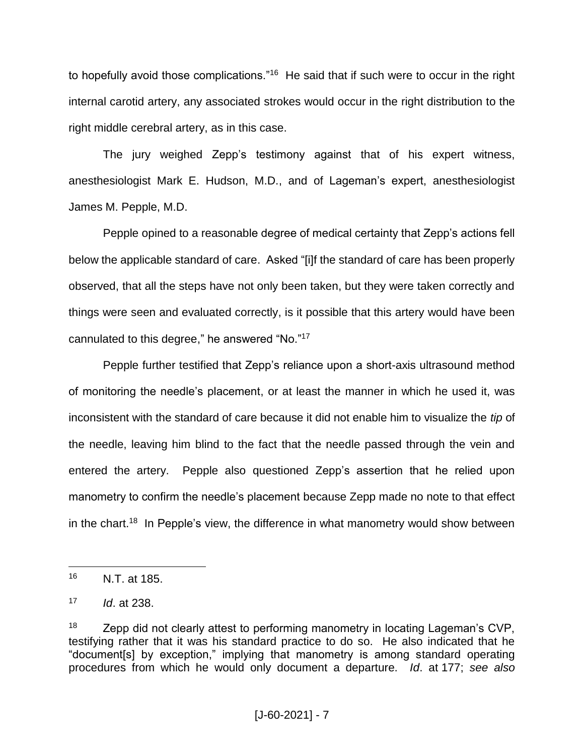to hopefully avoid those complications."<sup>16</sup> He said that if such were to occur in the right internal carotid artery, any associated strokes would occur in the right distribution to the right middle cerebral artery, as in this case.

The jury weighed Zepp's testimony against that of his expert witness, anesthesiologist Mark E. Hudson, M.D., and of Lageman's expert, anesthesiologist James M. Pepple, M.D.

Pepple opined to a reasonable degree of medical certainty that Zepp's actions fell below the applicable standard of care. Asked "[i]f the standard of care has been properly observed, that all the steps have not only been taken, but they were taken correctly and things were seen and evaluated correctly, is it possible that this artery would have been cannulated to this degree," he answered "No."<sup>17</sup>

Pepple further testified that Zepp's reliance upon a short-axis ultrasound method of monitoring the needle's placement, or at least the manner in which he used it, was inconsistent with the standard of care because it did not enable him to visualize the *tip* of the needle, leaving him blind to the fact that the needle passed through the vein and entered the artery. Pepple also questioned Zepp's assertion that he relied upon manometry to confirm the needle's placement because Zepp made no note to that effect in the chart.<sup>18</sup> In Pepple's view, the difference in what manometry would show between

 $\overline{a}$ <sup>16</sup> N.T. at 185.

<sup>17</sup> *Id*. at 238.

 $18$  Zepp did not clearly attest to performing manometry in locating Lageman's CVP, testifying rather that it was his standard practice to do so. He also indicated that he "document[s] by exception," implying that manometry is among standard operating procedures from which he would only document a departure. *Id*. at 177; *see also*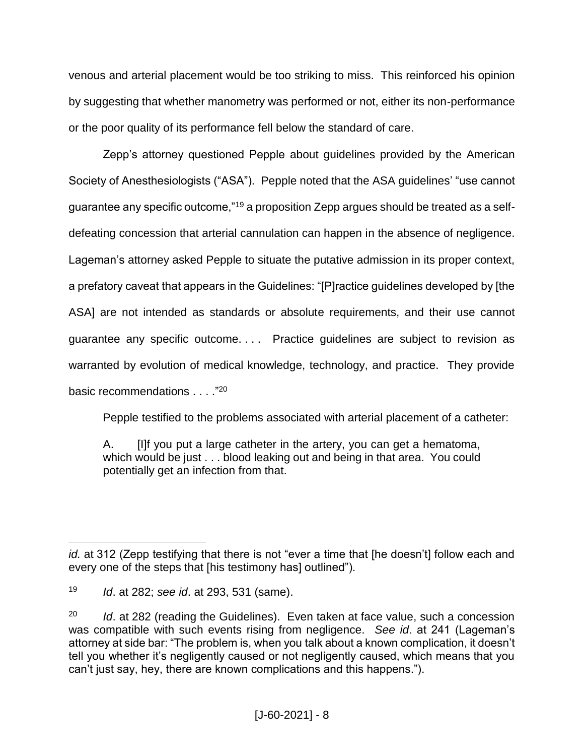venous and arterial placement would be too striking to miss. This reinforced his opinion by suggesting that whether manometry was performed or not, either its non-performance or the poor quality of its performance fell below the standard of care.

Zepp's attorney questioned Pepple about guidelines provided by the American Society of Anesthesiologists ("ASA"). Pepple noted that the ASA guidelines' "use cannot guarantee any specific outcome,"<sup>19</sup> a proposition Zepp argues should be treated as a selfdefeating concession that arterial cannulation can happen in the absence of negligence. Lageman's attorney asked Pepple to situate the putative admission in its proper context, a prefatory caveat that appears in the Guidelines: "[P]ractice guidelines developed by [the ASA] are not intended as standards or absolute requirements, and their use cannot guarantee any specific outcome. . . . Practice guidelines are subject to revision as warranted by evolution of medical knowledge, technology, and practice. They provide basic recommendations . . . ."<sup>20</sup>

Pepple testified to the problems associated with arterial placement of a catheter:

A. [I]f you put a large catheter in the artery, you can get a hematoma, which would be just . . . blood leaking out and being in that area. You could potentially get an infection from that.

 $\overline{a}$ *id.* at 312 (Zepp testifying that there is not "ever a time that [he doesn't] follow each and every one of the steps that [his testimony has] outlined").

<sup>19</sup> *Id*. at 282; *see id*. at 293, 531 (same).

<sup>20</sup> *Id*. at 282 (reading the Guidelines). Even taken at face value, such a concession was compatible with such events rising from negligence. *See id*. at 241 (Lageman's attorney at side bar: "The problem is, when you talk about a known complication, it doesn't tell you whether it's negligently caused or not negligently caused, which means that you can't just say, hey, there are known complications and this happens.").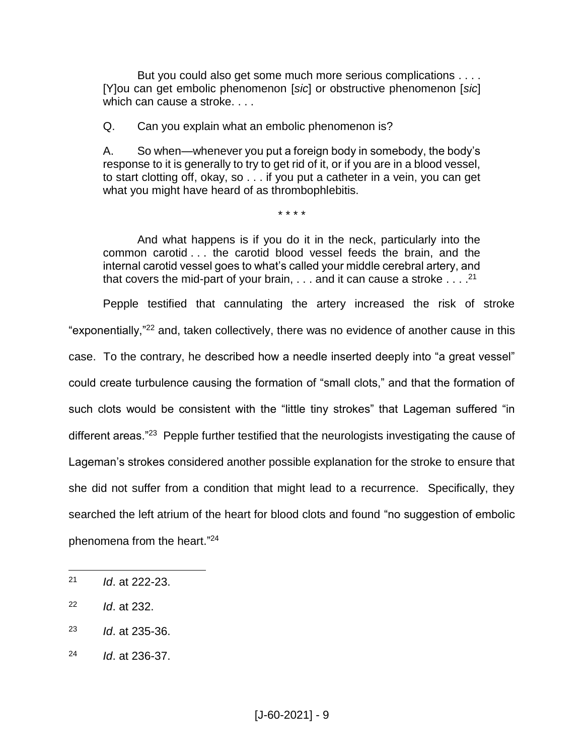But you could also get some much more serious complications . . . . [Y]ou can get embolic phenomenon [*sic*] or obstructive phenomenon [*sic*] which can cause a stroke. . . .

Q. Can you explain what an embolic phenomenon is?

A. So when—whenever you put a foreign body in somebody, the body's response to it is generally to try to get rid of it, or if you are in a blood vessel, to start clotting off, okay, so . . . if you put a catheter in a vein, you can get what you might have heard of as thrombophlebitis.

\* \* \* \*

And what happens is if you do it in the neck, particularly into the common carotid . . . the carotid blood vessel feeds the brain, and the internal carotid vessel goes to what's called your middle cerebral artery, and that covers the mid-part of your brain,  $\dots$  and it can cause a stroke  $\dots$ .<sup>21</sup>

Pepple testified that cannulating the artery increased the risk of stroke "exponentially,"<sup>22</sup> and, taken collectively, there was no evidence of another cause in this case. To the contrary, he described how a needle inserted deeply into "a great vessel" could create turbulence causing the formation of "small clots," and that the formation of such clots would be consistent with the "little tiny strokes" that Lageman suffered "in different areas."<sup>23</sup> Pepple further testified that the neurologists investigating the cause of Lageman's strokes considered another possible explanation for the stroke to ensure that she did not suffer from a condition that might lead to a recurrence. Specifically, they searched the left atrium of the heart for blood clots and found "no suggestion of embolic phenomena from the heart." 24

- <sup>23</sup> *Id*. at 235-36.
- <sup>24</sup> *Id*. at 236-37.

<sup>21</sup> *Id*. at 222-23.

<sup>22</sup> *Id*. at 232.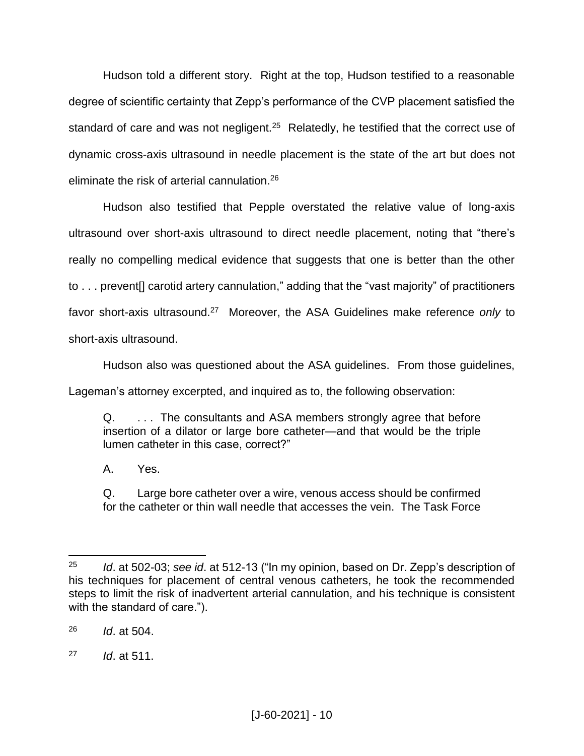Hudson told a different story. Right at the top, Hudson testified to a reasonable degree of scientific certainty that Zepp's performance of the CVP placement satisfied the standard of care and was not negligent.<sup>25</sup> Relatedly, he testified that the correct use of dynamic cross-axis ultrasound in needle placement is the state of the art but does not eliminate the risk of arterial cannulation.<sup>26</sup>

Hudson also testified that Pepple overstated the relative value of long-axis ultrasound over short-axis ultrasound to direct needle placement, noting that "there's really no compelling medical evidence that suggests that one is better than the other to . . . prevent[] carotid artery cannulation," adding that the "vast majority" of practitioners favor short-axis ultrasound.<sup>27</sup> Moreover, the ASA Guidelines make reference only to short-axis ultrasound.

Hudson also was questioned about the ASA guidelines. From those guidelines,

Lageman's attorney excerpted, and inquired as to, the following observation:

Q. . . . The consultants and ASA members strongly agree that before insertion of a dilator or large bore catheter—and that would be the triple lumen catheter in this case, correct?"

A. Yes.

Q. Large bore catheter over a wire, venous access should be confirmed for the catheter or thin wall needle that accesses the vein. The Task Force

<sup>25</sup> *Id*. at 502-03; *see id*. at 512-13 ("In my opinion, based on Dr. Zepp's description of his techniques for placement of central venous catheters, he took the recommended steps to limit the risk of inadvertent arterial cannulation, and his technique is consistent with the standard of care.").

<sup>26</sup> *Id*. at 504.

<sup>27</sup> *Id*. at 511.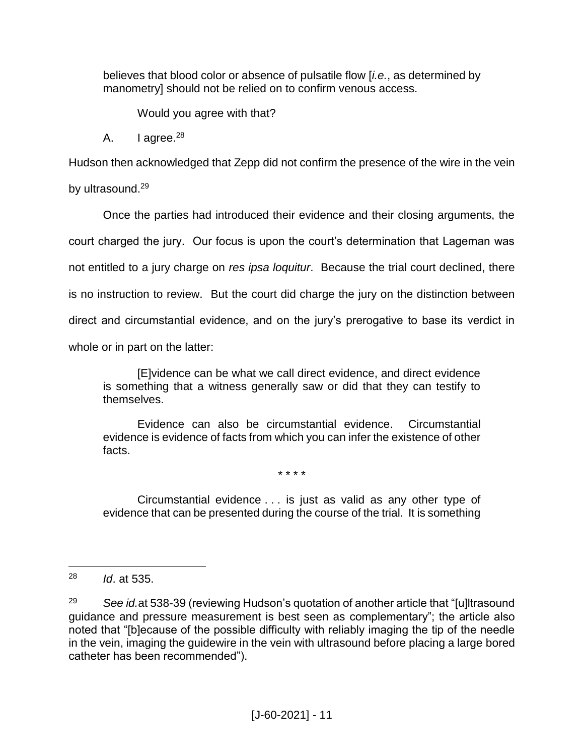believes that blood color or absence of pulsatile flow [*i.e.*, as determined by manometry] should not be relied on to confirm venous access.

Would you agree with that?

A.  $| \text{a} \text{ are } e^{28}$ 

Hudson then acknowledged that Zepp did not confirm the presence of the wire in the vein

by ultrasound.<sup>29</sup>

Once the parties had introduced their evidence and their closing arguments, the court charged the jury. Our focus is upon the court's determination that Lageman was not entitled to a jury charge on *res ipsa loquitur*. Because the trial court declined, there is no instruction to review. But the court did charge the jury on the distinction between direct and circumstantial evidence, and on the jury's prerogative to base its verdict in whole or in part on the latter:

[E]vidence can be what we call direct evidence, and direct evidence is something that a witness generally saw or did that they can testify to themselves.

Evidence can also be circumstantial evidence. Circumstantial evidence is evidence of facts from which you can infer the existence of other facts.

\* \* \* \*

Circumstantial evidence . . . is just as valid as any other type of evidence that can be presented during the course of the trial. It is something

<sup>28</sup> *Id*. at 535.

<sup>29</sup> *See id.*at 538-39 (reviewing Hudson's quotation of another article that "[u]ltrasound guidance and pressure measurement is best seen as complementary"; the article also noted that "[b]ecause of the possible difficulty with reliably imaging the tip of the needle in the vein, imaging the guidewire in the vein with ultrasound before placing a large bored catheter has been recommended").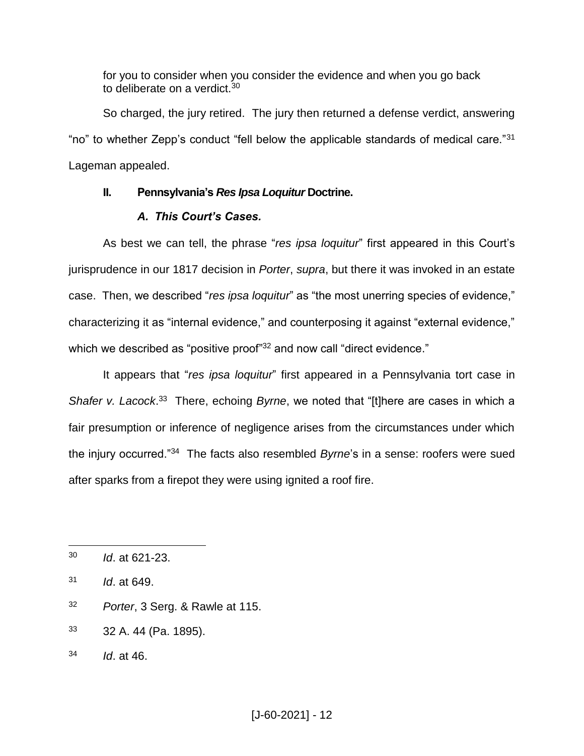for you to consider when you consider the evidence and when you go back to deliberate on a verdict.<sup>30</sup>

So charged, the jury retired. The jury then returned a defense verdict, answering "no" to whether Zepp's conduct "fell below the applicable standards of medical care."<sup>31</sup> Lageman appealed.

### **II. Pennsylvania's** *Res Ipsa Loquitur* **Doctrine.**

### *A. This Court's Cases.*

As best we can tell, the phrase "*res ipsa loquitur*" first appeared in this Court's jurisprudence in our 1817 decision in *Porter*, *supra*, but there it was invoked in an estate case. Then, we described "*res ipsa loquitur*" as "the most unerring species of evidence," characterizing it as "internal evidence," and counterposing it against "external evidence," which we described as "positive proof"<sup>32</sup> and now call "direct evidence."

It appears that "*res ipsa loquitur*" first appeared in a Pennsylvania tort case in Shafer v. Lacock.<sup>33</sup> There, echoing *Byrne*, we noted that "[t]here are cases in which a fair presumption or inference of negligence arises from the circumstances under which the injury occurred."<sup>34</sup> The facts also resembled *Byrne*'s in a sense: roofers were sued after sparks from a firepot they were using ignited a roof fire.

- <sup>32</sup> *Porter*, 3 Serg. & Rawle at 115.
- <sup>33</sup> 32 A. 44 (Pa. 1895).
- <sup>34</sup> *Id*. at 46.

 $\overline{a}$ <sup>30</sup> *Id*. at 621-23.

<sup>31</sup> *Id*. at 649.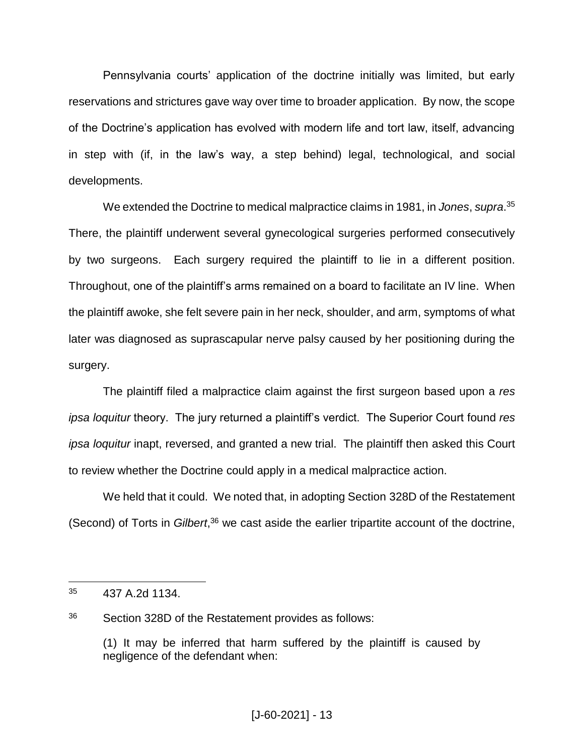Pennsylvania courts' application of the doctrine initially was limited, but early reservations and strictures gave way over time to broader application. By now, the scope of the Doctrine's application has evolved with modern life and tort law, itself, advancing in step with (if, in the law's way, a step behind) legal, technological, and social developments.

We extended the Doctrine to medical malpractice claims in 1981, in *Jones*, *supra*. 35 There, the plaintiff underwent several gynecological surgeries performed consecutively by two surgeons. Each surgery required the plaintiff to lie in a different position. Throughout, one of the plaintiff's arms remained on a board to facilitate an IV line. When the plaintiff awoke, she felt severe pain in her neck, shoulder, and arm, symptoms of what later was diagnosed as suprascapular nerve palsy caused by her positioning during the surgery.

The plaintiff filed a malpractice claim against the first surgeon based upon a *res ipsa loquitur* theory. The jury returned a plaintiff's verdict. The Superior Court found *res ipsa loquitur* inapt, reversed, and granted a new trial. The plaintiff then asked this Court to review whether the Doctrine could apply in a medical malpractice action.

We held that it could. We noted that, in adopting Section 328D of the Restatement (Second) of Torts in *Gilbert*, <sup>36</sup> we cast aside the earlier tripartite account of the doctrine,

 $35$  437 A.2d 1134.

<sup>36</sup> Section 328D of the Restatement provides as follows:

<sup>(1)</sup> It may be inferred that harm suffered by the plaintiff is caused by negligence of the defendant when: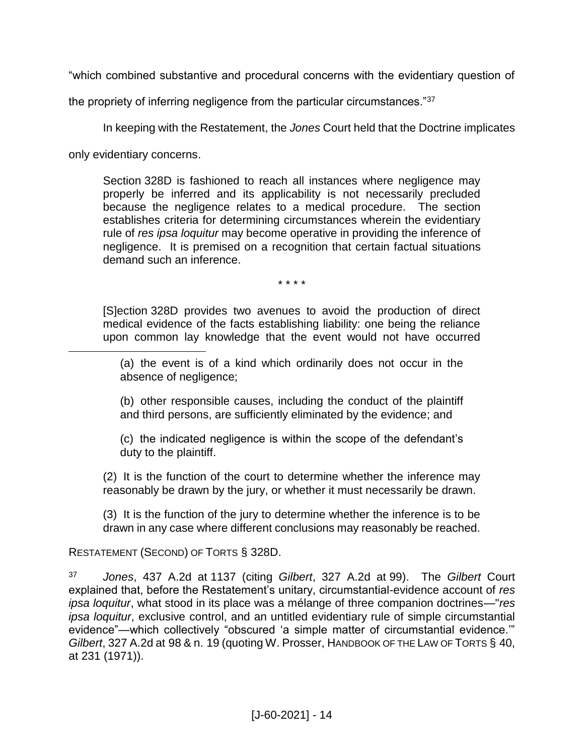"which combined substantive and procedural concerns with the evidentiary question of

the propriety of inferring negligence from the particular circumstances."<sup>37</sup>

In keeping with the Restatement, the *Jones* Court held that the Doctrine implicates

only evidentiary concerns.

 $\overline{a}$ 

Section 328D is fashioned to reach all instances where negligence may properly be inferred and its applicability is not necessarily precluded because the negligence relates to a medical procedure. The section establishes criteria for determining circumstances wherein the evidentiary rule of *res ipsa loquitur* may become operative in providing the inference of negligence. It is premised on a recognition that certain factual situations demand such an inference.

\* \* \* \*

[S]ection 328D provides two avenues to avoid the production of direct medical evidence of the facts establishing liability: one being the reliance upon common lay knowledge that the event would not have occurred

(a) the event is of a kind which ordinarily does not occur in the absence of negligence;

(b) other responsible causes, including the conduct of the plaintiff and third persons, are sufficiently eliminated by the evidence; and

(c) the indicated negligence is within the scope of the defendant's duty to the plaintiff.

(2) It is the function of the court to determine whether the inference may reasonably be drawn by the jury, or whether it must necessarily be drawn.

(3) It is the function of the jury to determine whether the inference is to be drawn in any case where different conclusions may reasonably be reached.

RESTATEMENT (SECOND) OF TORTS § 328D.

<sup>37</sup> *Jones*, 437 A.2d at 1137 (citing *Gilbert*, 327 A.2d at 99). The *Gilbert* Court explained that, before the Restatement's unitary, circumstantial-evidence account of *res ipsa loquitur*, what stood in its place was a mélange of three companion doctrines—"*res ipsa loquitur*, exclusive control, and an untitled evidentiary rule of simple circumstantial evidence"—which collectively "obscured 'a simple matter of circumstantial evidence.'" *Gilbert*, 327 A.2d at 98 & n. 19 (quoting W. Prosser, HANDBOOK OF THE LAW OF TORTS § 40, at 231 (1971)).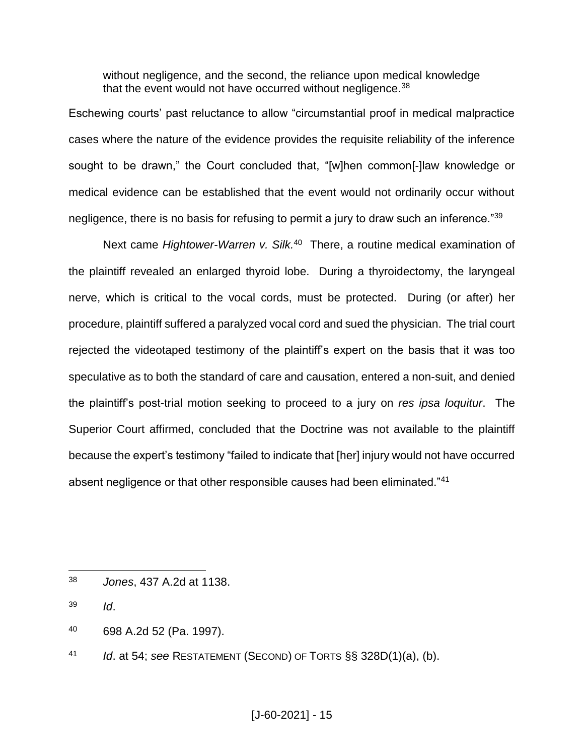without negligence, and the second, the reliance upon medical knowledge that the event would not have occurred without negligence.<sup>38</sup>

Eschewing courts' past reluctance to allow "circumstantial proof in medical malpractice cases where the nature of the evidence provides the requisite reliability of the inference sought to be drawn," the Court concluded that, "[w]hen common[-]law knowledge or medical evidence can be established that the event would not ordinarily occur without negligence, there is no basis for refusing to permit a jury to draw such an inference."<sup>39</sup>

Next came *Hightower-Warren v. Silk.* <sup>40</sup> There, a routine medical examination of the plaintiff revealed an enlarged thyroid lobe. During a thyroidectomy, the laryngeal nerve, which is critical to the vocal cords, must be protected. During (or after) her procedure, plaintiff suffered a paralyzed vocal cord and sued the physician. The trial court rejected the videotaped testimony of the plaintiff's expert on the basis that it was too speculative as to both the standard of care and causation, entered a non-suit, and denied the plaintiff's post-trial motion seeking to proceed to a jury on *res ipsa loquitur*. The Superior Court affirmed, concluded that the Doctrine was not available to the plaintiff because the expert's testimony "failed to indicate that [her] injury would not have occurred absent negligence or that other responsible causes had been eliminated."<sup>41</sup>

- <sup>40</sup> 698 A.2d 52 (Pa. 1997).
- <sup>41</sup> *Id*. at 54; *see* RESTATEMENT (SECOND) OF TORTS §§ 328D(1)(a), (b).

<sup>38</sup> *Jones*, 437 A.2d at 1138.

<sup>39</sup> *Id*.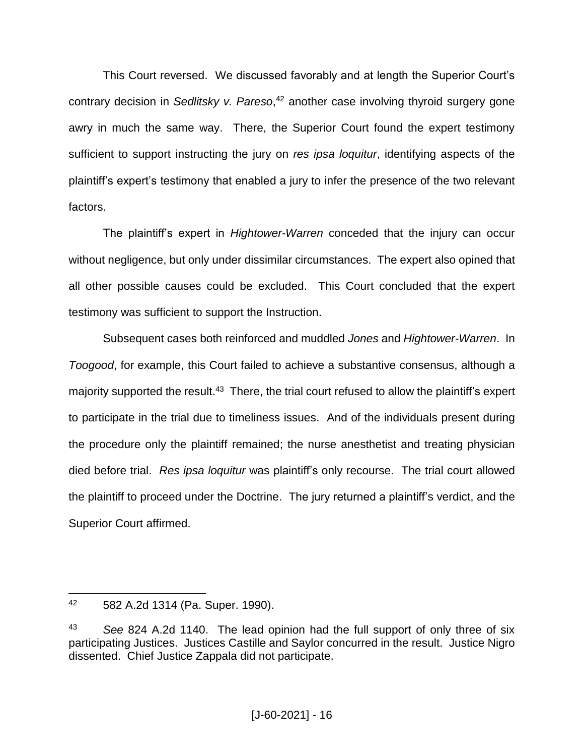This Court reversed. We discussed favorably and at length the Superior Court's contrary decision in *Sedlitsky v. Pareso*, <sup>42</sup> another case involving thyroid surgery gone awry in much the same way. There, the Superior Court found the expert testimony sufficient to support instructing the jury on *res ipsa loquitur*, identifying aspects of the plaintiff's expert's testimony that enabled a jury to infer the presence of the two relevant factors.

The plaintiff's expert in *Hightower-Warren* conceded that the injury can occur without negligence, but only under dissimilar circumstances. The expert also opined that all other possible causes could be excluded. This Court concluded that the expert testimony was sufficient to support the Instruction.

Subsequent cases both reinforced and muddled *Jones* and *Hightower-Warren*. In *Toogood*, for example, this Court failed to achieve a substantive consensus, although a majority supported the result.<sup>43</sup> There, the trial court refused to allow the plaintiff's expert to participate in the trial due to timeliness issues. And of the individuals present during the procedure only the plaintiff remained; the nurse anesthetist and treating physician died before trial. *Res ipsa loquitur* was plaintiff's only recourse. The trial court allowed the plaintiff to proceed under the Doctrine. The jury returned a plaintiff's verdict, and the Superior Court affirmed.

<sup>42</sup> 582 A.2d 1314 (Pa. Super. 1990).

<sup>43</sup> *See* 824 A.2d 1140. The lead opinion had the full support of only three of six participating Justices. Justices Castille and Saylor concurred in the result. Justice Nigro dissented. Chief Justice Zappala did not participate.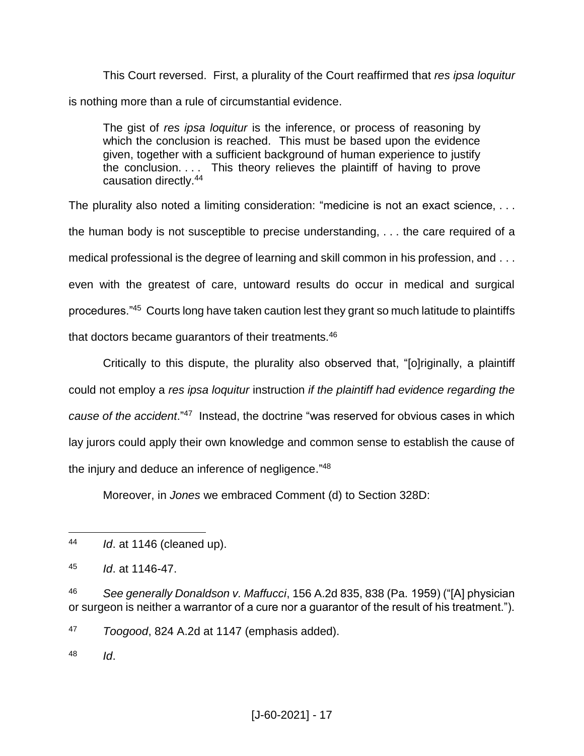This Court reversed. First, a plurality of the Court reaffirmed that *res ipsa loquitur* is nothing more than a rule of circumstantial evidence.

The gist of *res ipsa loquitur* is the inference, or process of reasoning by which the conclusion is reached. This must be based upon the evidence given, together with a sufficient background of human experience to justify the conclusion. . . . This theory relieves the plaintiff of having to prove causation directly.<sup>44</sup>

The plurality also noted a limiting consideration: "medicine is not an exact science, . . . the human body is not susceptible to precise understanding, . . . the care required of a medical professional is the degree of learning and skill common in his profession, and . . . even with the greatest of care, untoward results do occur in medical and surgical procedures."<sup>45</sup> Courts long have taken caution lest they grant so much latitude to plaintiffs that doctors became quarantors of their treatments.<sup>46</sup>

Critically to this dispute, the plurality also observed that, "[o]riginally, a plaintiff could not employ a *res ipsa loquitur* instruction *if the plaintiff had evidence regarding the cause of the accident*."<sup>47</sup> Instead, the doctrine "was reserved for obvious cases in which lay jurors could apply their own knowledge and common sense to establish the cause of the injury and deduce an inference of negligence."<sup>48</sup>

Moreover, in *Jones* we embraced Comment (d) to Section 328D:

<sup>48</sup> *Id*.

 $\overline{a}$ <sup>44</sup> *Id*. at 1146 (cleaned up).

<sup>45</sup> *Id*. at 1146-47.

<sup>46</sup> *See generally Donaldson v. Maffucci*, 156 A.2d 835, 838 (Pa. 1959) ("[A] physician or surgeon is neither a warrantor of a cure nor a guarantor of the result of his treatment.").

<sup>47</sup> *Toogood*, 824 A.2d at 1147 (emphasis added).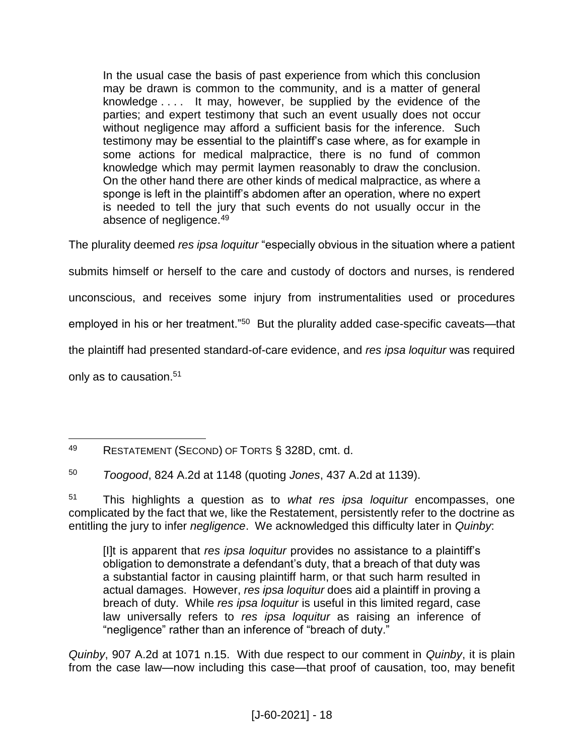In the usual case the basis of past experience from which this conclusion may be drawn is common to the community, and is a matter of general knowledge . . . . It may, however, be supplied by the evidence of the parties; and expert testimony that such an event usually does not occur without negligence may afford a sufficient basis for the inference. Such testimony may be essential to the plaintiff's case where, as for example in some actions for medical malpractice, there is no fund of common knowledge which may permit laymen reasonably to draw the conclusion. On the other hand there are other kinds of medical malpractice, as where a sponge is left in the plaintiff's abdomen after an operation, where no expert is needed to tell the jury that such events do not usually occur in the absence of negligence.<sup>49</sup>

The plurality deemed *res ipsa loquitur* "especially obvious in the situation where a patient

submits himself or herself to the care and custody of doctors and nurses, is rendered

unconscious, and receives some injury from instrumentalities used or procedures

employed in his or her treatment."<sup>50</sup> But the plurality added case-specific caveats—that

the plaintiff had presented standard-of-care evidence, and *res ipsa loquitur* was required

only as to causation.<sup>51</sup>

[I]t is apparent that *res ipsa loquitur* provides no assistance to a plaintiff's obligation to demonstrate a defendant's duty, that a breach of that duty was a substantial factor in causing plaintiff harm, or that such harm resulted in actual damages. However, *res ipsa loquitur* does aid a plaintiff in proving a breach of duty. While *res ipsa loquitur* is useful in this limited regard, case law universally refers to *res ipsa loquitur* as raising an inference of "negligence" rather than an inference of "breach of duty."

*Quinby*, 907 A.2d at 1071 n.15. With due respect to our comment in *Quinby*, it is plain from the case law—now including this case—that proof of causation, too, may benefit

 $\overline{a}$ <sup>49</sup> RESTATEMENT (SECOND) OF TORTS § 328D, cmt. d.

<sup>50</sup> *Toogood*, 824 A.2d at 1148 (quoting *Jones*, 437 A.2d at 1139).

<sup>51</sup> This highlights a question as to *what res ipsa loquitur* encompasses, one complicated by the fact that we, like the Restatement, persistently refer to the doctrine as entitling the jury to infer *negligence*. We acknowledged this difficulty later in *Quinby*: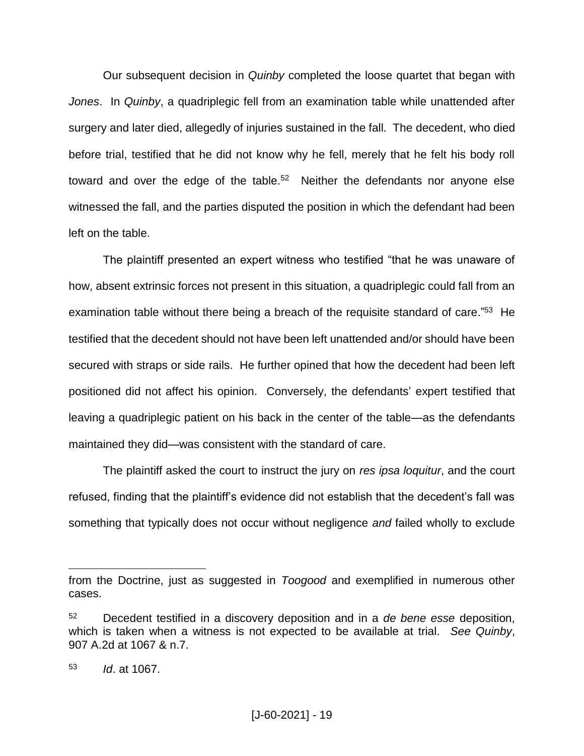Our subsequent decision in *Quinby* completed the loose quartet that began with *Jones*. In *Quinby*, a quadriplegic fell from an examination table while unattended after surgery and later died, allegedly of injuries sustained in the fall. The decedent, who died before trial, testified that he did not know why he fell, merely that he felt his body roll toward and over the edge of the table. $52$  Neither the defendants nor anyone else witnessed the fall, and the parties disputed the position in which the defendant had been left on the table.

The plaintiff presented an expert witness who testified "that he was unaware of how, absent extrinsic forces not present in this situation, a quadriplegic could fall from an examination table without there being a breach of the requisite standard of care."<sup>53</sup> He testified that the decedent should not have been left unattended and/or should have been secured with straps or side rails. He further opined that how the decedent had been left positioned did not affect his opinion. Conversely, the defendants' expert testified that leaving a quadriplegic patient on his back in the center of the table—as the defendants maintained they did—was consistent with the standard of care.

The plaintiff asked the court to instruct the jury on *res ipsa loquitur*, and the court refused, finding that the plaintiff's evidence did not establish that the decedent's fall was something that typically does not occur without negligence *and* failed wholly to exclude

from the Doctrine, just as suggested in *Toogood* and exemplified in numerous other cases.

<sup>52</sup> Decedent testified in a discovery deposition and in a *de bene esse* deposition, which is taken when a witness is not expected to be available at trial. *See Quinby*, 907 A.2d at 1067 & n.7.

<sup>53</sup> *Id*. at 1067.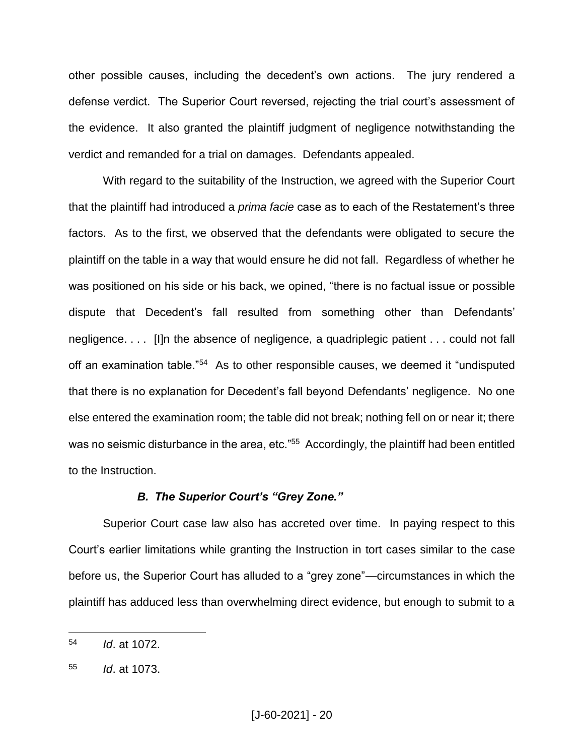other possible causes, including the decedent's own actions. The jury rendered a defense verdict. The Superior Court reversed, rejecting the trial court's assessment of the evidence. It also granted the plaintiff judgment of negligence notwithstanding the verdict and remanded for a trial on damages. Defendants appealed.

With regard to the suitability of the Instruction, we agreed with the Superior Court that the plaintiff had introduced a *prima facie* case as to each of the Restatement's three factors. As to the first, we observed that the defendants were obligated to secure the plaintiff on the table in a way that would ensure he did not fall. Regardless of whether he was positioned on his side or his back, we opined, "there is no factual issue or possible dispute that Decedent's fall resulted from something other than Defendants' negligence. . . . [I]n the absence of negligence, a quadriplegic patient . . . could not fall off an examination table."<sup>54</sup> As to other responsible causes, we deemed it "undisputed that there is no explanation for Decedent's fall beyond Defendants' negligence. No one else entered the examination room; the table did not break; nothing fell on or near it; there was no seismic disturbance in the area, etc."<sup>55</sup> Accordingly, the plaintiff had been entitled to the Instruction.

#### *B. The Superior Court's "Grey Zone."*

Superior Court case law also has accreted over time. In paying respect to this Court's earlier limitations while granting the Instruction in tort cases similar to the case before us, the Superior Court has alluded to a "grey zone"—circumstances in which the plaintiff has adduced less than overwhelming direct evidence, but enough to submit to a

<sup>54</sup> *Id*. at 1072.

<sup>55</sup> *Id*. at 1073.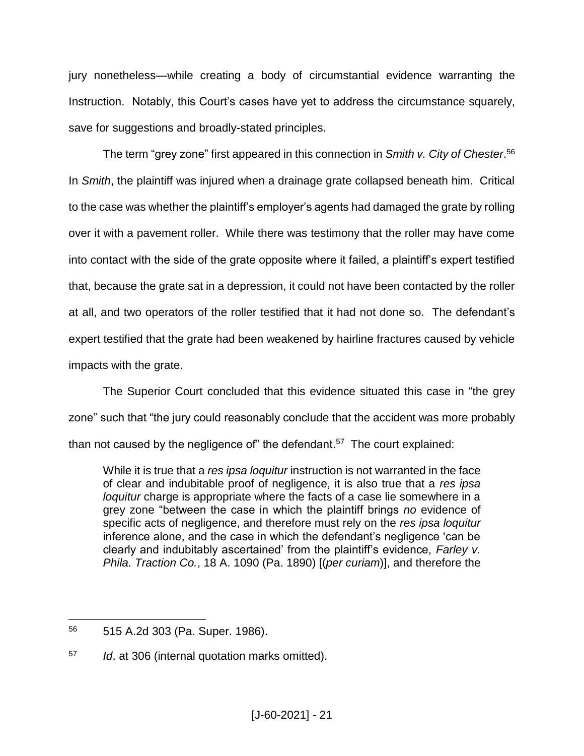jury nonetheless—while creating a body of circumstantial evidence warranting the Instruction. Notably, this Court's cases have yet to address the circumstance squarely, save for suggestions and broadly-stated principles.

The term "grey zone" first appeared in this connection in *Smith v. City of Chester*. 56 In *Smith*, the plaintiff was injured when a drainage grate collapsed beneath him. Critical to the case was whether the plaintiff's employer's agents had damaged the grate by rolling over it with a pavement roller. While there was testimony that the roller may have come into contact with the side of the grate opposite where it failed, a plaintiff's expert testified that, because the grate sat in a depression, it could not have been contacted by the roller at all, and two operators of the roller testified that it had not done so. The defendant's expert testified that the grate had been weakened by hairline fractures caused by vehicle impacts with the grate.

The Superior Court concluded that this evidence situated this case in "the grey zone" such that "the jury could reasonably conclude that the accident was more probably than not caused by the negligence of" the defendant.<sup>57</sup> The court explained:

While it is true that a *res ipsa loquitur* instruction is not warranted in the face of clear and indubitable proof of negligence, it is also true that a *res ipsa loquitur* charge is appropriate where the facts of a case lie somewhere in a grey zone "between the case in which the plaintiff brings *no* evidence of specific acts of negligence, and therefore must rely on the *res ipsa loquitur* inference alone, and the case in which the defendant's negligence 'can be clearly and indubitably ascertained' from the plaintiff's evidence, *Farley v. Phila. Traction Co.*, 18 A. 1090 (Pa. 1890) [(*per curiam*)], and therefore the

 $\overline{a}$ <sup>56</sup> 515 A.2d 303 (Pa. Super. 1986).

<sup>57</sup> *Id*. at 306 (internal quotation marks omitted).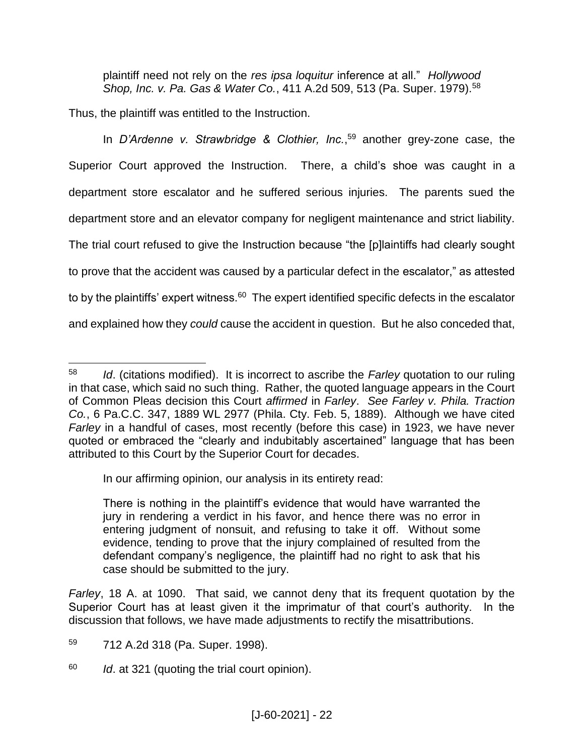plaintiff need not rely on the *res ipsa loquitur* inference at all." *Hollywood Shop, Inc. v. Pa. Gas & Water Co.*, 411 A.2d 509, 513 (Pa. Super. 1979).<sup>58</sup>

Thus, the plaintiff was entitled to the Instruction.

In *D'Ardenne v. Strawbridge & Clothier, Inc.*, <sup>59</sup> another grey-zone case, the Superior Court approved the Instruction. There, a child's shoe was caught in a department store escalator and he suffered serious injuries. The parents sued the department store and an elevator company for negligent maintenance and strict liability. The trial court refused to give the Instruction because "the [p]laintiffs had clearly sought to prove that the accident was caused by a particular defect in the escalator," as attested to by the plaintiffs' expert witness.<sup>60</sup> The expert identified specific defects in the escalator and explained how they *could* cause the accident in question. But he also conceded that,

In our affirming opinion, our analysis in its entirety read:

*Farley*, 18 A. at 1090. That said, we cannot deny that its frequent quotation by the Superior Court has at least given it the imprimatur of that court's authority. In the discussion that follows, we have made adjustments to rectify the misattributions.

<sup>60</sup> *Id*. at 321 (quoting the trial court opinion).

 $\overline{a}$ <sup>58</sup> *Id*. (citations modified). It is incorrect to ascribe the *Farley* quotation to our ruling in that case, which said no such thing. Rather, the quoted language appears in the Court of Common Pleas decision this Court *affirmed* in *Farley*. *See Farley v. Phila. Traction Co.*, 6 Pa.C.C. 347, 1889 WL 2977 (Phila. Cty. Feb. 5, 1889). Although we have cited *Farley* in a handful of cases, most recently (before this case) in 1923, we have never quoted or embraced the "clearly and indubitably ascertained" language that has been attributed to this Court by the Superior Court for decades.

There is nothing in the plaintiff's evidence that would have warranted the jury in rendering a verdict in his favor, and hence there was no error in entering judgment of nonsuit, and refusing to take it off. Without some evidence, tending to prove that the injury complained of resulted from the defendant company's negligence, the plaintiff had no right to ask that his case should be submitted to the jury.

<sup>59</sup> 712 A.2d 318 (Pa. Super. 1998).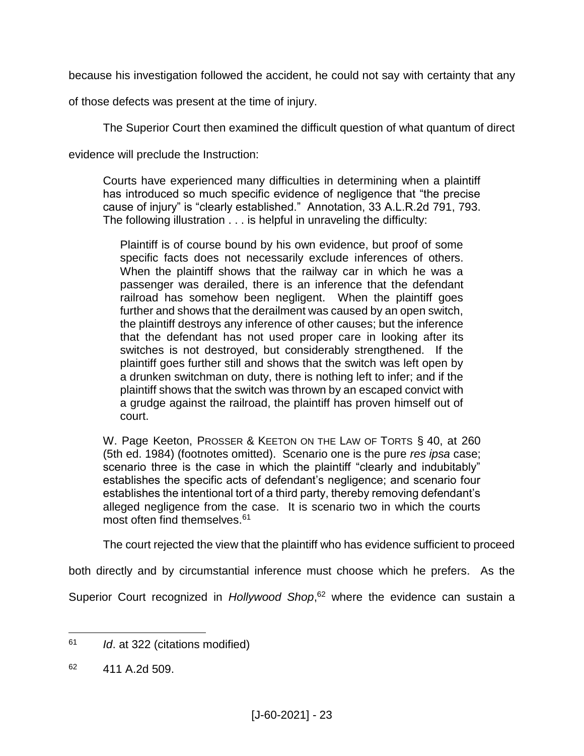because his investigation followed the accident, he could not say with certainty that any

of those defects was present at the time of injury.

The Superior Court then examined the difficult question of what quantum of direct

evidence will preclude the Instruction:

Courts have experienced many difficulties in determining when a plaintiff has introduced so much specific evidence of negligence that "the precise cause of injury" is "clearly established." Annotation, 33 A.L.R.2d 791, 793. The following illustration . . . is helpful in unraveling the difficulty:

Plaintiff is of course bound by his own evidence, but proof of some specific facts does not necessarily exclude inferences of others. When the plaintiff shows that the railway car in which he was a passenger was derailed, there is an inference that the defendant railroad has somehow been negligent. When the plaintiff goes further and shows that the derailment was caused by an open switch, the plaintiff destroys any inference of other causes; but the inference that the defendant has not used proper care in looking after its switches is not destroyed, but considerably strengthened. If the plaintiff goes further still and shows that the switch was left open by a drunken switchman on duty, there is nothing left to infer; and if the plaintiff shows that the switch was thrown by an escaped convict with a grudge against the railroad, the plaintiff has proven himself out of court.

W. Page Keeton, PROSSER & KEETON ON THE LAW OF TORTS § 40, at 260 (5th ed. 1984) (footnotes omitted). Scenario one is the pure *res ipsa* case; scenario three is the case in which the plaintiff "clearly and indubitably" establishes the specific acts of defendant's negligence; and scenario four establishes the intentional tort of a third party, thereby removing defendant's alleged negligence from the case. It is scenario two in which the courts most often find themselves.<sup>61</sup>

The court rejected the view that the plaintiff who has evidence sufficient to proceed

both directly and by circumstantial inference must choose which he prefers. As the

Superior Court recognized in *Hollywood Shop*, <sup>62</sup> where the evidence can sustain a

<sup>61</sup> *Id*. at 322 (citations modified)

<sup>62</sup> 411 A.2d 509.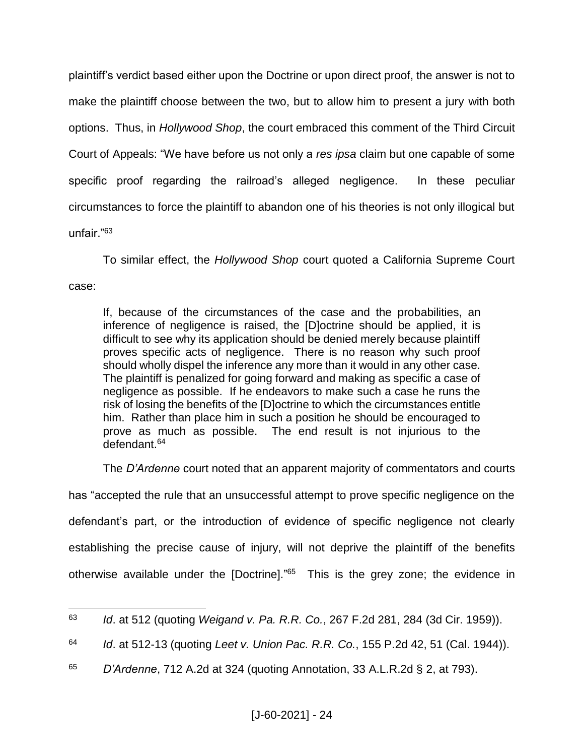plaintiff's verdict based either upon the Doctrine or upon direct proof, the answer is not to make the plaintiff choose between the two, but to allow him to present a jury with both options. Thus, in *Hollywood Shop*, the court embraced this comment of the Third Circuit Court of Appeals: "We have before us not only a *res ipsa* claim but one capable of some specific proof regarding the railroad's alleged negligence. In these peculiar circumstances to force the plaintiff to abandon one of his theories is not only illogical but unfair."<sup>63</sup>

To similar effect, the *Hollywood Shop* court quoted a California Supreme Court case:

If, because of the circumstances of the case and the probabilities, an inference of negligence is raised, the [D]octrine should be applied, it is difficult to see why its application should be denied merely because plaintiff proves specific acts of negligence. There is no reason why such proof should wholly dispel the inference any more than it would in any other case. The plaintiff is penalized for going forward and making as specific a case of negligence as possible. If he endeavors to make such a case he runs the risk of losing the benefits of the [D]octrine to which the circumstances entitle him. Rather than place him in such a position he should be encouraged to prove as much as possible. The end result is not injurious to the defendant.<sup>64</sup>

The *D'Ardenne* court noted that an apparent majority of commentators and courts

has "accepted the rule that an unsuccessful attempt to prove specific negligence on the defendant's part, or the introduction of evidence of specific negligence not clearly establishing the precise cause of injury, will not deprive the plaintiff of the benefits otherwise available under the [Doctrine]."<sup>65</sup> This is the grey zone; the evidence in

<sup>65</sup> *D'Ardenne*, 712 A.2d at 324 (quoting Annotation, 33 A.L.R.2d § 2, at 793).

 $\overline{a}$ <sup>63</sup> *Id*. at 512 (quoting *Weigand v. Pa. R.R. Co.*, 267 F.2d 281, 284 (3d Cir. 1959)).

<sup>64</sup> *Id*. at 512-13 (quoting *Leet v. Union Pac. R.R. Co.*, 155 P.2d 42, 51 (Cal. 1944)).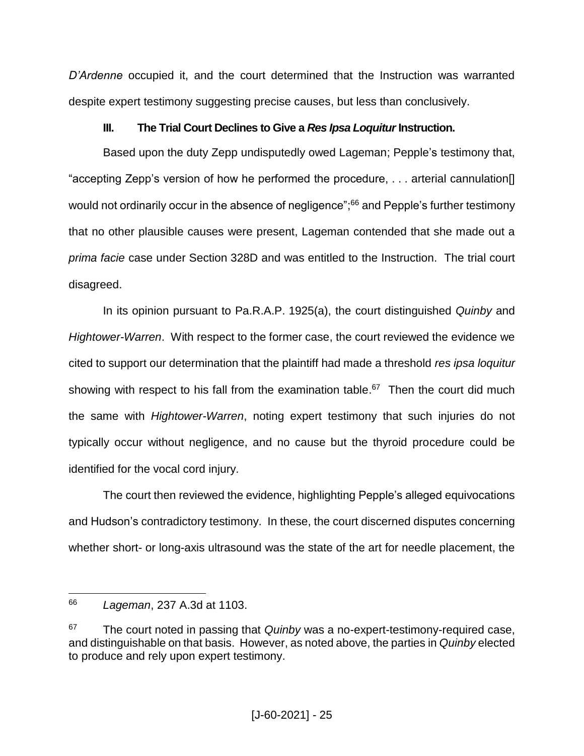*D'Ardenne* occupied it, and the court determined that the Instruction was warranted despite expert testimony suggesting precise causes, but less than conclusively.

## **III. The Trial Court Declines to Give a** *Res Ipsa Loquitur* **Instruction.**

Based upon the duty Zepp undisputedly owed Lageman; Pepple's testimony that, "accepting Zepp's version of how he performed the procedure, . . . arterial cannulation[] would not ordinarily occur in the absence of negligence";<sup>66</sup> and Pepple's further testimony that no other plausible causes were present, Lageman contended that she made out a *prima facie* case under Section 328D and was entitled to the Instruction. The trial court disagreed.

In its opinion pursuant to Pa.R.A.P. 1925(a), the court distinguished *Quinby* and *Hightower-Warren*. With respect to the former case, the court reviewed the evidence we cited to support our determination that the plaintiff had made a threshold *res ipsa loquitur* showing with respect to his fall from the examination table.<sup>67</sup> Then the court did much the same with *Hightower-Warren*, noting expert testimony that such injuries do not typically occur without negligence, and no cause but the thyroid procedure could be identified for the vocal cord injury.

The court then reviewed the evidence, highlighting Pepple's alleged equivocations and Hudson's contradictory testimony. In these, the court discerned disputes concerning whether short- or long-axis ultrasound was the state of the art for needle placement, the

<sup>66</sup> *Lageman*, 237 A.3d at 1103.

<sup>67</sup> The court noted in passing that *Quinby* was a no-expert-testimony-required case, and distinguishable on that basis. However, as noted above, the parties in *Quinby* elected to produce and rely upon expert testimony.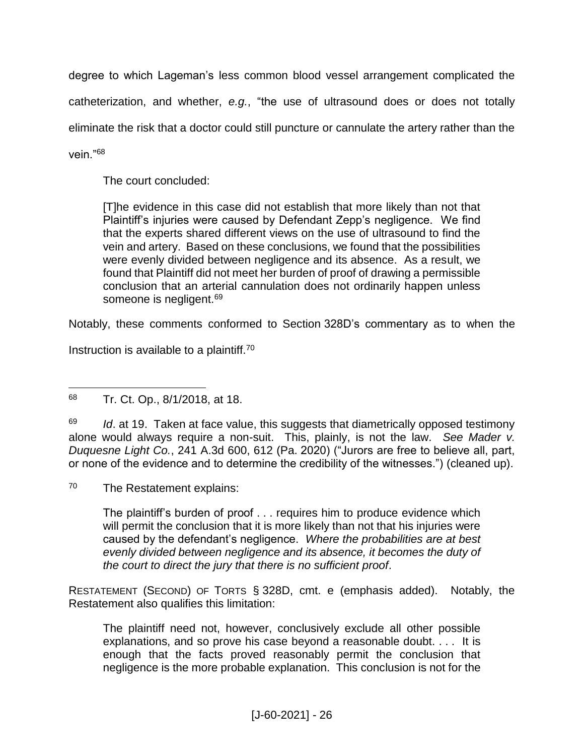degree to which Lageman's less common blood vessel arrangement complicated the catheterization, and whether, *e.g.*, "the use of ultrasound does or does not totally eliminate the risk that a doctor could still puncture or cannulate the artery rather than the vein."<sup>68</sup>

The court concluded:

[T]he evidence in this case did not establish that more likely than not that Plaintiff's injuries were caused by Defendant Zepp's negligence. We find that the experts shared different views on the use of ultrasound to find the vein and artery. Based on these conclusions, we found that the possibilities were evenly divided between negligence and its absence. As a result, we found that Plaintiff did not meet her burden of proof of drawing a permissible conclusion that an arterial cannulation does not ordinarily happen unless someone is negligent.<sup>69</sup>

Notably, these comments conformed to Section 328D's commentary as to when the

Instruction is available to a plaintiff.<sup>70</sup>

<sup>69</sup> *Id.* at 19. Taken at face value, this suggests that diametrically opposed testimony alone would always require a non-suit. This, plainly, is not the law. *See Mader v. Duquesne Light Co.*, 241 A.3d 600, 612 (Pa. 2020) ("Jurors are free to believe all, part, or none of the evidence and to determine the credibility of the witnesses.") (cleaned up).

<sup>70</sup> The Restatement explains:

The plaintiff's burden of proof . . . requires him to produce evidence which will permit the conclusion that it is more likely than not that his injuries were caused by the defendant's negligence. *Where the probabilities are at best evenly divided between negligence and its absence, it becomes the duty of the court to direct the jury that there is no sufficient proof*.

RESTATEMENT (SECOND) OF TORTS § 328D, cmt. e (emphasis added). Notably, the Restatement also qualifies this limitation:

The plaintiff need not, however, conclusively exclude all other possible explanations, and so prove his case beyond a reasonable doubt. . . . It is enough that the facts proved reasonably permit the conclusion that negligence is the more probable explanation. This conclusion is not for the

 $\overline{a}$ <sup>68</sup> Tr. Ct. Op., 8/1/2018, at 18.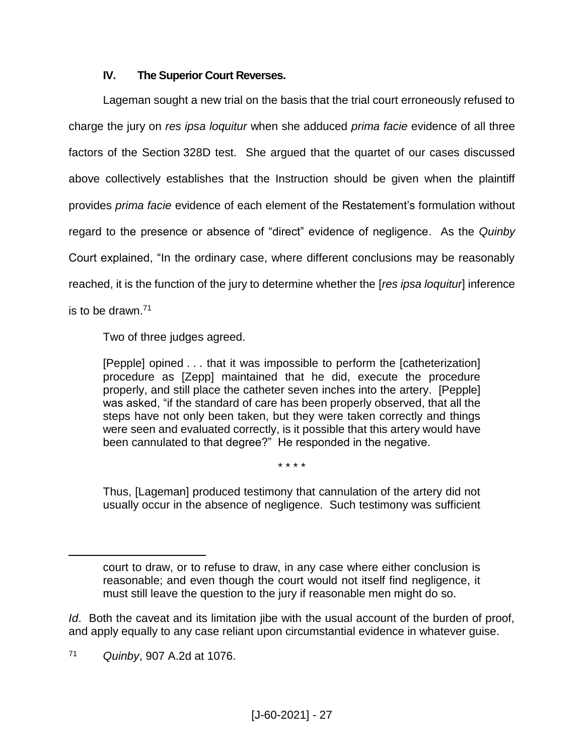### **IV. The Superior Court Reverses.**

Lageman sought a new trial on the basis that the trial court erroneously refused to charge the jury on *res ipsa loquitur* when she adduced *prima facie* evidence of all three factors of the Section 328D test. She argued that the quartet of our cases discussed above collectively establishes that the Instruction should be given when the plaintiff provides *prima facie* evidence of each element of the Restatement's formulation without regard to the presence or absence of "direct" evidence of negligence. As the *Quinby* Court explained, "In the ordinary case, where different conclusions may be reasonably reached, it is the function of the jury to determine whether the *res ipsa loquitur*] inference is to be drawn.<sup>71</sup>

Two of three judges agreed.

[Pepple] opined . . . that it was impossible to perform the [catheterization] procedure as [Zepp] maintained that he did, execute the procedure properly, and still place the catheter seven inches into the artery. [Pepple] was asked, "if the standard of care has been properly observed, that all the steps have not only been taken, but they were taken correctly and things were seen and evaluated correctly, is it possible that this artery would have been cannulated to that degree?" He responded in the negative.

\* \* \* \*

Thus, [Lageman] produced testimony that cannulation of the artery did not usually occur in the absence of negligence. Such testimony was sufficient

*Id*. Both the caveat and its limitation jibe with the usual account of the burden of proof, and apply equally to any case reliant upon circumstantial evidence in whatever guise.

court to draw, or to refuse to draw, in any case where either conclusion is reasonable; and even though the court would not itself find negligence, it must still leave the question to the jury if reasonable men might do so.

<sup>71</sup> *Quinby*, 907 A.2d at 1076.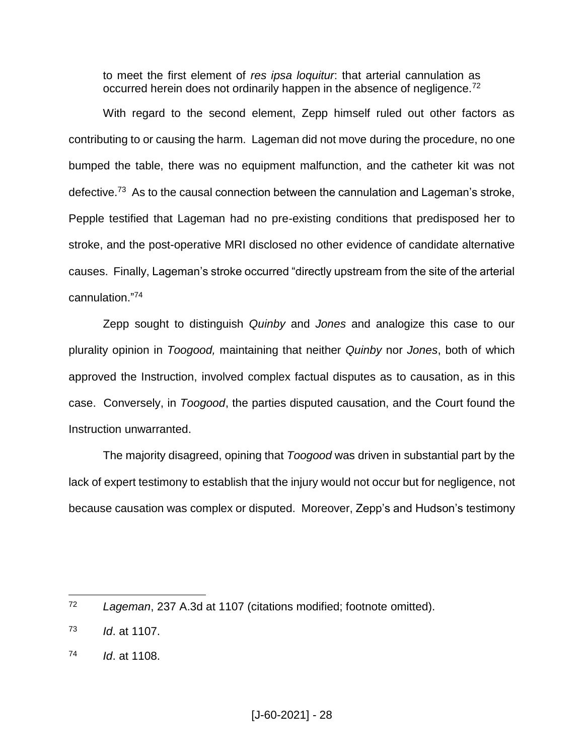to meet the first element of *res ipsa loquitur*: that arterial cannulation as occurred herein does not ordinarily happen in the absence of negligence.<sup>72</sup>

With regard to the second element, Zepp himself ruled out other factors as contributing to or causing the harm. Lageman did not move during the procedure, no one bumped the table, there was no equipment malfunction, and the catheter kit was not defective.<sup>73</sup> As to the causal connection between the cannulation and Lageman's stroke, Pepple testified that Lageman had no pre-existing conditions that predisposed her to stroke, and the post-operative MRI disclosed no other evidence of candidate alternative causes. Finally, Lageman's stroke occurred "directly upstream from the site of the arterial cannulation." 74

Zepp sought to distinguish *Quinby* and *Jones* and analogize this case to our plurality opinion in *Toogood,* maintaining that neither *Quinby* nor *Jones*, both of which approved the Instruction, involved complex factual disputes as to causation, as in this case. Conversely, in *Toogood*, the parties disputed causation, and the Court found the Instruction unwarranted.

The majority disagreed, opining that *Toogood* was driven in substantial part by the lack of expert testimony to establish that the injury would not occur but for negligence, not because causation was complex or disputed. Moreover, Zepp's and Hudson's testimony

 $72$ <sup>72</sup> *Lageman*, 237 A.3d at 1107 (citations modified; footnote omitted).

<sup>73</sup> *Id*. at 1107.

<sup>74</sup> *Id*. at 1108.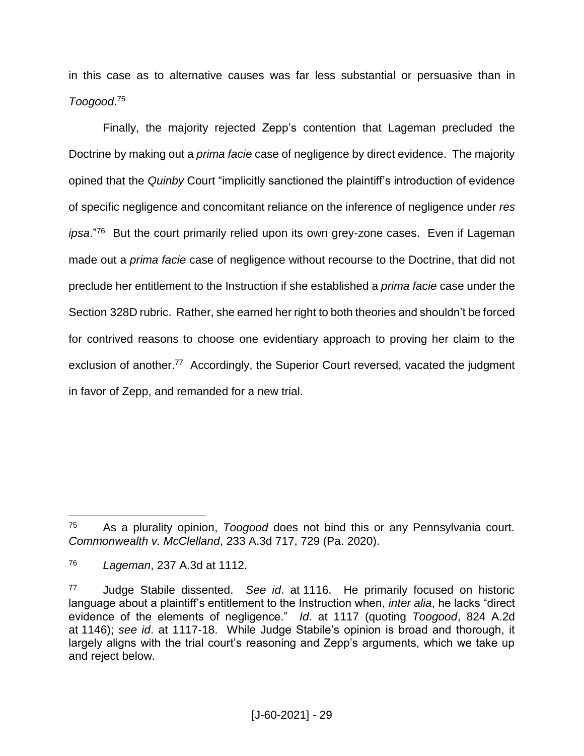in this case as to alternative causes was far less substantial or persuasive than in *Toogood*. 75

Finally, the majority rejected Zepp's contention that Lageman precluded the Doctrine by making out a *prima facie* case of negligence by direct evidence. The majority opined that the *Quinby* Court "implicitly sanctioned the plaintiff's introduction of evidence of specific negligence and concomitant reliance on the inference of negligence under *res ipsa*."<sup>76</sup> But the court primarily relied upon its own grey-zone cases. Even if Lageman made out a *prima facie* case of negligence without recourse to the Doctrine, that did not preclude her entitlement to the Instruction if she established a *prima facie* case under the Section 328D rubric. Rather, she earned her right to both theories and shouldn't be forced for contrived reasons to choose one evidentiary approach to proving her claim to the exclusion of another.<sup>77</sup> Accordingly, the Superior Court reversed, vacated the judgment in favor of Zepp, and remanded for a new trial.

<sup>75</sup> As a plurality opinion, *Toogood* does not bind this or any Pennsylvania court. *Commonwealth v. McClelland*, 233 A.3d 717, 729 (Pa. 2020).

<sup>76</sup> *Lageman*, 237 A.3d at 1112.

<sup>77</sup> Judge Stabile dissented. *See id*. at 1116. He primarily focused on historic language about a plaintiff's entitlement to the Instruction when, *inter alia*, he lacks "direct evidence of the elements of negligence." *Id*. at 1117 (quoting *Toogood*, 824 A.2d at 1146); *see id*. at 1117-18. While Judge Stabile's opinion is broad and thorough, it largely aligns with the trial court's reasoning and Zepp's arguments, which we take up and reject below.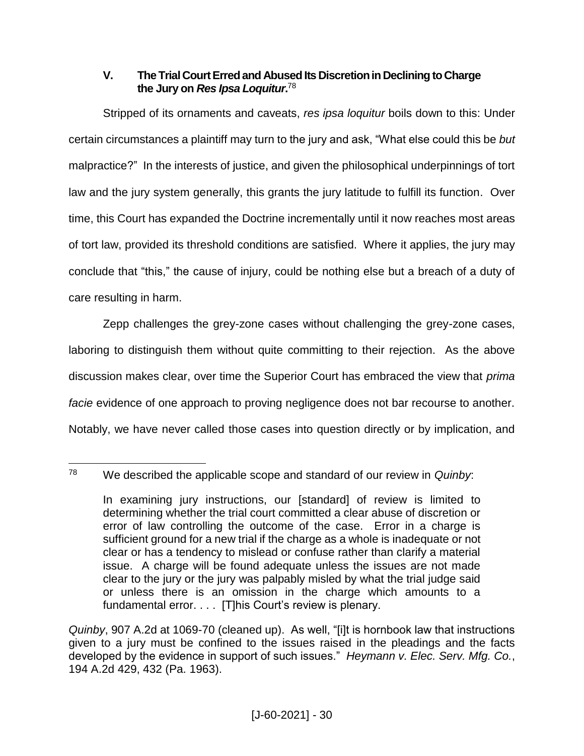### **V. The Trial Court Erred and Abused Its Discretion in Declining to Charge the Jury on** *Res Ipsa Loquitur***.** 78

Stripped of its ornaments and caveats, *res ipsa loquitur* boils down to this: Under certain circumstances a plaintiff may turn to the jury and ask, "What else could this be *but*  malpractice?" In the interests of justice, and given the philosophical underpinnings of tort law and the jury system generally, this grants the jury latitude to fulfill its function. Over time, this Court has expanded the Doctrine incrementally until it now reaches most areas of tort law, provided its threshold conditions are satisfied. Where it applies, the jury may conclude that "this," the cause of injury, could be nothing else but a breach of a duty of care resulting in harm.

Zepp challenges the grey-zone cases without challenging the grey-zone cases, laboring to distinguish them without quite committing to their rejection. As the above discussion makes clear, over time the Superior Court has embraced the view that *prima facie* evidence of one approach to proving negligence does not bar recourse to another. Notably, we have never called those cases into question directly or by implication, and

<sup>78</sup> <sup>78</sup> We described the applicable scope and standard of our review in *Quinby*:

In examining jury instructions, our [standard] of review is limited to determining whether the trial court committed a clear abuse of discretion or error of law controlling the outcome of the case. Error in a charge is sufficient ground for a new trial if the charge as a whole is inadequate or not clear or has a tendency to mislead or confuse rather than clarify a material issue. A charge will be found adequate unless the issues are not made clear to the jury or the jury was palpably misled by what the trial judge said or unless there is an omission in the charge which amounts to a fundamental error. . . . [T]his Court's review is plenary.

*Quinby*, 907 A.2d at 1069-70 (cleaned up). As well, "[i]t is hornbook law that instructions given to a jury must be confined to the issues raised in the pleadings and the facts developed by the evidence in support of such issues." *Heymann v. Elec. Serv. Mfg. Co.*, 194 A.2d 429, 432 (Pa. 1963).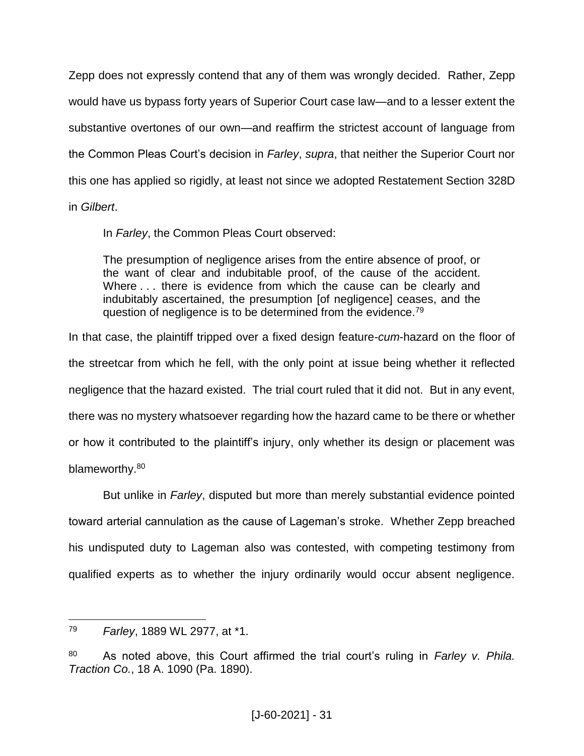Zepp does not expressly contend that any of them was wrongly decided. Rather, Zepp would have us bypass forty years of Superior Court case law—and to a lesser extent the substantive overtones of our own—and reaffirm the strictest account of language from the Common Pleas Court's decision in *Farley*, *supra*, that neither the Superior Court nor this one has applied so rigidly, at least not since we adopted Restatement Section 328D

in *Gilbert*.

In *Farley*, the Common Pleas Court observed:

The presumption of negligence arises from the entire absence of proof, or the want of clear and indubitable proof, of the cause of the accident. Where . . . there is evidence from which the cause can be clearly and indubitably ascertained, the presumption [of negligence] ceases, and the question of negligence is to be determined from the evidence.<sup>79</sup>

In that case, the plaintiff tripped over a fixed design feature-*cum*-hazard on the floor of the streetcar from which he fell, with the only point at issue being whether it reflected negligence that the hazard existed. The trial court ruled that it did not. But in any event, there was no mystery whatsoever regarding how the hazard came to be there or whether or how it contributed to the plaintiff's injury, only whether its design or placement was blameworthy.<sup>80</sup>

But unlike in *Farley*, disputed but more than merely substantial evidence pointed toward arterial cannulation as the cause of Lageman's stroke. Whether Zepp breached his undisputed duty to Lageman also was contested, with competing testimony from qualified experts as to whether the injury ordinarily would occur absent negligence.

 $\overline{a}$ <sup>79</sup> *Farley*, 1889 WL 2977, at \*1.

<sup>80</sup> As noted above, this Court affirmed the trial court's ruling in *Farley v. Phila. Traction Co.*, 18 A. 1090 (Pa. 1890).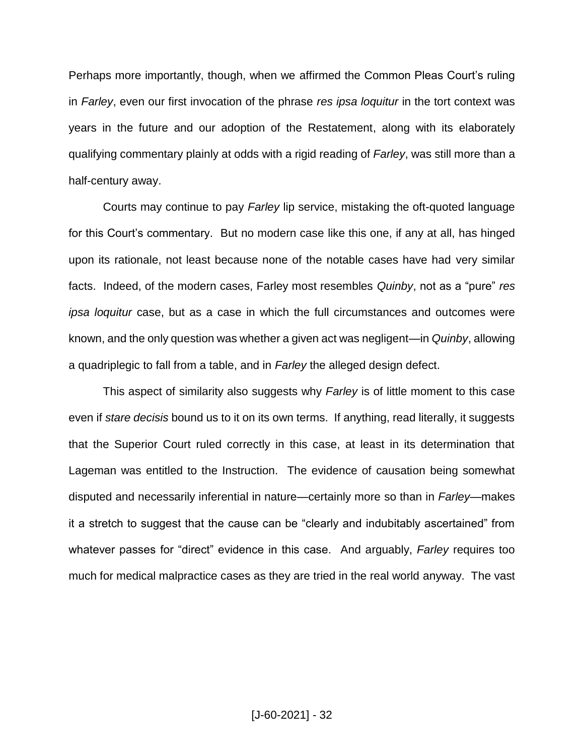Perhaps more importantly, though, when we affirmed the Common Pleas Court's ruling in *Farley*, even our first invocation of the phrase *res ipsa loquitur* in the tort context was years in the future and our adoption of the Restatement, along with its elaborately qualifying commentary plainly at odds with a rigid reading of *Farley*, was still more than a half-century away.

Courts may continue to pay *Farley* lip service, mistaking the oft-quoted language for this Court's commentary. But no modern case like this one, if any at all, has hinged upon its rationale, not least because none of the notable cases have had very similar facts. Indeed, of the modern cases, Farley most resembles *Quinby*, not as a "pure" *res ipsa loquitur* case, but as a case in which the full circumstances and outcomes were known, and the only question was whether a given act was negligent—in *Quinby*, allowing a quadriplegic to fall from a table, and in *Farley* the alleged design defect.

This aspect of similarity also suggests why *Farley* is of little moment to this case even if *stare decisis* bound us to it on its own terms. If anything, read literally, it suggests that the Superior Court ruled correctly in this case, at least in its determination that Lageman was entitled to the Instruction. The evidence of causation being somewhat disputed and necessarily inferential in nature—certainly more so than in *Farley*—makes it a stretch to suggest that the cause can be "clearly and indubitably ascertained" from whatever passes for "direct" evidence in this case. And arguably, *Farley* requires too much for medical malpractice cases as they are tried in the real world anyway. The vast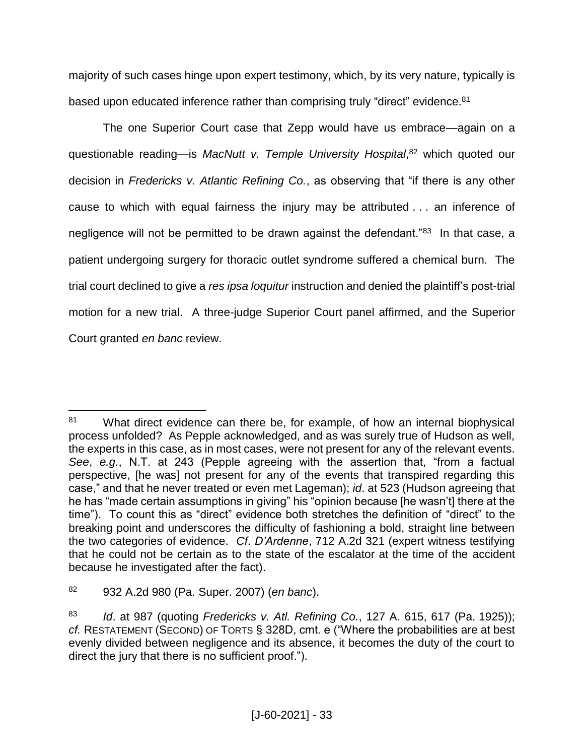majority of such cases hinge upon expert testimony, which, by its very nature, typically is based upon educated inference rather than comprising truly "direct" evidence.<sup>81</sup>

The one Superior Court case that Zepp would have us embrace—again on a questionable reading—is *MacNutt v. Temple University Hospital*, <sup>82</sup> which quoted our decision in *Fredericks v. Atlantic Refining Co.*, as observing that "if there is any other cause to which with equal fairness the injury may be attributed . . . an inference of negligence will not be permitted to be drawn against the defendant."<sup>83</sup> In that case, a patient undergoing surgery for thoracic outlet syndrome suffered a chemical burn. The trial court declined to give a *res ipsa loquitur* instruction and denied the plaintiff's post-trial motion for a new trial. A three-judge Superior Court panel affirmed, and the Superior Court granted *en banc* review.

 $\overline{a}$ 81 What direct evidence can there be, for example, of how an internal biophysical process unfolded? As Pepple acknowledged, and as was surely true of Hudson as well, the experts in this case, as in most cases, were not present for any of the relevant events. *See*, *e.g.*, N.T. at 243 (Pepple agreeing with the assertion that, "from a factual perspective, [he was] not present for any of the events that transpired regarding this case," and that he never treated or even met Lageman); *id*. at 523 (Hudson agreeing that he has "made certain assumptions in giving" his "opinion because [he wasn't] there at the time"). To count this as "direct" evidence both stretches the definition of "direct" to the breaking point and underscores the difficulty of fashioning a bold, straight line between the two categories of evidence. *Cf*. *D'Ardenne*, 712 A.2d 321 (expert witness testifying that he could not be certain as to the state of the escalator at the time of the accident because he investigated after the fact).

<sup>82</sup> 932 A.2d 980 (Pa. Super. 2007) (*en banc*).

<sup>83</sup> *Id*. at 987 (quoting *Fredericks v. Atl. Refining Co.*, 127 A. 615, 617 (Pa. 1925)); *cf.* RESTATEMENT (SECOND) OF TORTS § 328D, cmt. e ("Where the probabilities are at best evenly divided between negligence and its absence, it becomes the duty of the court to direct the jury that there is no sufficient proof.").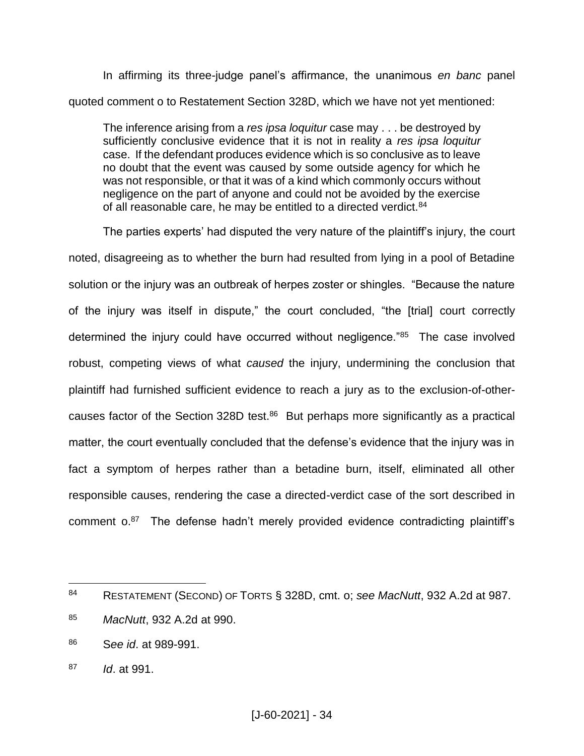In affirming its three-judge panel's affirmance, the unanimous *en banc* panel quoted comment o to Restatement Section 328D, which we have not yet mentioned:

The inference arising from a *res ipsa loquitur* case may . . . be destroyed by sufficiently conclusive evidence that it is not in reality a *res ipsa loquitur* case. If the defendant produces evidence which is so conclusive as to leave no doubt that the event was caused by some outside agency for which he was not responsible, or that it was of a kind which commonly occurs without negligence on the part of anyone and could not be avoided by the exercise of all reasonable care, he may be entitled to a directed verdict.<sup>84</sup>

The parties experts' had disputed the very nature of the plaintiff's injury, the court noted, disagreeing as to whether the burn had resulted from lying in a pool of Betadine solution or the injury was an outbreak of herpes zoster or shingles. "Because the nature of the injury was itself in dispute," the court concluded, "the [trial] court correctly determined the injury could have occurred without negligence."<sup>85</sup> The case involved robust, competing views of what *caused* the injury, undermining the conclusion that plaintiff had furnished sufficient evidence to reach a jury as to the exclusion-of-othercauses factor of the Section 328D test. $86$  But perhaps more significantly as a practical matter, the court eventually concluded that the defense's evidence that the injury was in fact a symptom of herpes rather than a betadine burn, itself, eliminated all other responsible causes, rendering the case a directed-verdict case of the sort described in comment o.<sup>87</sup> The defense hadn't merely provided evidence contradicting plaintiff's

- <sup>86</sup> S*ee id*. at 989-991.
- <sup>87</sup> *Id*. at 991.

<sup>84</sup> RESTATEMENT (SECOND) OF TORTS § 328D, cmt. o; *see MacNutt*, 932 A.2d at 987.

<sup>85</sup> *MacNutt*, 932 A.2d at 990.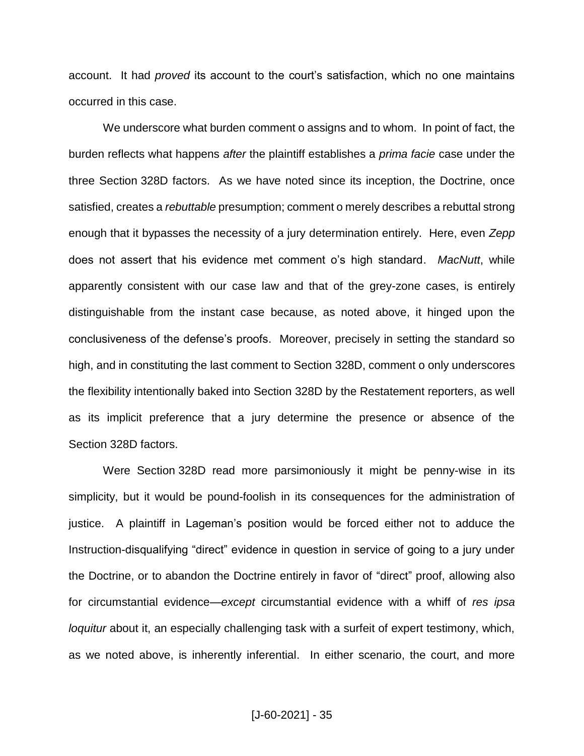account. It had *proved* its account to the court's satisfaction, which no one maintains occurred in this case.

We underscore what burden comment o assigns and to whom. In point of fact, the burden reflects what happens *after* the plaintiff establishes a *prima facie* case under the three Section 328D factors. As we have noted since its inception, the Doctrine, once satisfied, creates a *rebuttable* presumption; comment o merely describes a rebuttal strong enough that it bypasses the necessity of a jury determination entirely. Here, even *Zepp* does not assert that his evidence met comment o's high standard. *MacNutt*, while apparently consistent with our case law and that of the grey-zone cases, is entirely distinguishable from the instant case because, as noted above, it hinged upon the conclusiveness of the defense's proofs. Moreover, precisely in setting the standard so high, and in constituting the last comment to Section 328D, comment o only underscores the flexibility intentionally baked into Section 328D by the Restatement reporters, as well as its implicit preference that a jury determine the presence or absence of the Section 328D factors.

Were Section 328D read more parsimoniously it might be penny-wise in its simplicity, but it would be pound-foolish in its consequences for the administration of justice. A plaintiff in Lageman's position would be forced either not to adduce the Instruction-disqualifying "direct" evidence in question in service of going to a jury under the Doctrine, or to abandon the Doctrine entirely in favor of "direct" proof, allowing also for circumstantial evidence—*except* circumstantial evidence with a whiff of *res ipsa loquitur* about it, an especially challenging task with a surfeit of expert testimony, which, as we noted above, is inherently inferential. In either scenario, the court, and more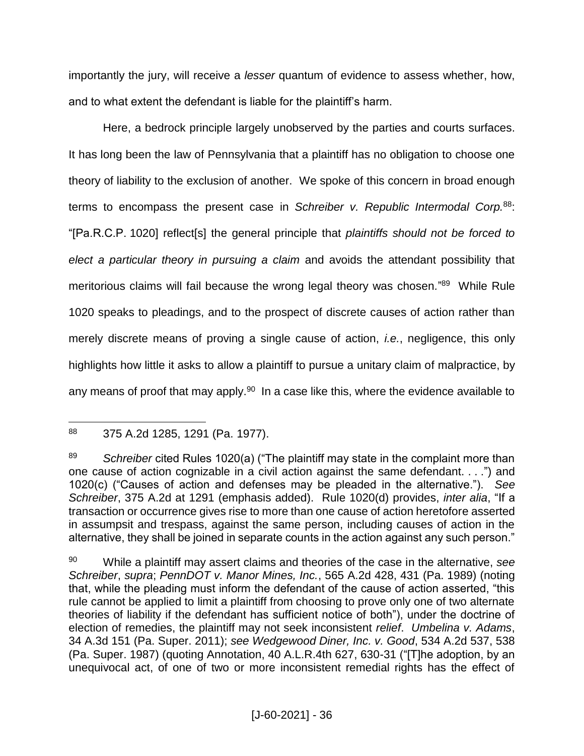importantly the jury, will receive a *lesser* quantum of evidence to assess whether, how, and to what extent the defendant is liable for the plaintiff's harm.

Here, a bedrock principle largely unobserved by the parties and courts surfaces. It has long been the law of Pennsylvania that a plaintiff has no obligation to choose one theory of liability to the exclusion of another. We spoke of this concern in broad enough terms to encompass the present case in *Schreiber v. Republic Intermodal Corp.*<sup>88</sup>: "[Pa.R.C.P. 1020] reflect[s] the general principle that *plaintiffs should not be forced to elect a particular theory in pursuing a claim* and avoids the attendant possibility that meritorious claims will fail because the wrong legal theory was chosen."<sup>89</sup> While Rule 1020 speaks to pleadings, and to the prospect of discrete causes of action rather than merely discrete means of proving a single cause of action, *i.e.*, negligence, this only highlights how little it asks to allow a plaintiff to pursue a unitary claim of malpractice, by any means of proof that may apply. $90$  In a case like this, where the evidence available to

 $\overline{a}$ <sup>88</sup> 375 A.2d 1285, 1291 (Pa. 1977).

<sup>89</sup> *Schreiber* cited Rules 1020(a) ("The plaintiff may state in the complaint more than one cause of action cognizable in a civil action against the same defendant. . . .") and 1020(c) ("Causes of action and defenses may be pleaded in the alternative."). *See Schreiber*, 375 A.2d at 1291 (emphasis added). Rule 1020(d) provides, *inter alia*, "If a transaction or occurrence gives rise to more than one cause of action heretofore asserted in assumpsit and trespass, against the same person, including causes of action in the alternative, they shall be joined in separate counts in the action against any such person."

<sup>90</sup> While a plaintiff may assert claims and theories of the case in the alternative, *see Schreiber*, *supra*; *PennDOT v. Manor Mines, Inc.*, 565 A.2d 428, 431 (Pa. 1989) (noting that, while the pleading must inform the defendant of the cause of action asserted, "this rule cannot be applied to limit a plaintiff from choosing to prove only one of two alternate theories of liability if the defendant has sufficient notice of both"), under the doctrine of election of remedies, the plaintiff may not seek inconsistent *relief*. *Umbelina v. Adams*, 34 A.3d 151 (Pa. Super. 2011); *see Wedgewood Diner, Inc. v. Good*, 534 A.2d 537, 538 (Pa. Super. 1987) (quoting Annotation, 40 A.L.R.4th 627, 630-31 ("[T]he adoption, by an unequivocal act, of one of two or more inconsistent remedial rights has the effect of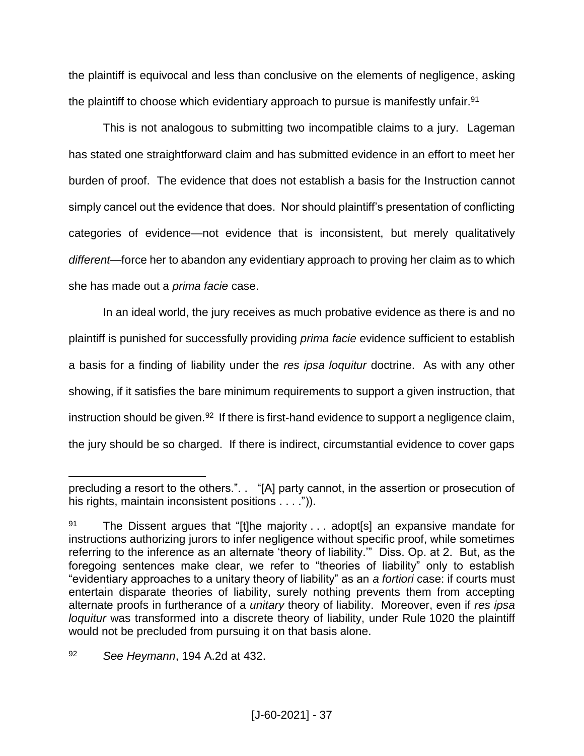the plaintiff is equivocal and less than conclusive on the elements of negligence, asking the plaintiff to choose which evidentiary approach to pursue is manifestly unfair.<sup>91</sup>

This is not analogous to submitting two incompatible claims to a jury. Lageman has stated one straightforward claim and has submitted evidence in an effort to meet her burden of proof. The evidence that does not establish a basis for the Instruction cannot simply cancel out the evidence that does. Nor should plaintiff's presentation of conflicting categories of evidence—not evidence that is inconsistent, but merely qualitatively *different*—force her to abandon any evidentiary approach to proving her claim as to which she has made out a *prima facie* case.

In an ideal world, the jury receives as much probative evidence as there is and no plaintiff is punished for successfully providing *prima facie* evidence sufficient to establish a basis for a finding of liability under the *res ipsa loquitur* doctrine. As with any other showing, if it satisfies the bare minimum requirements to support a given instruction, that instruction should be given.<sup>92</sup> If there is first-hand evidence to support a negligence claim, the jury should be so charged. If there is indirect, circumstantial evidence to cover gaps

<sup>92</sup> *See Heymann*, 194 A.2d at 432.

precluding a resort to the others.". . "[A] party cannot, in the assertion or prosecution of his rights, maintain inconsistent positions . . . .")).

<sup>&</sup>lt;sup>91</sup> The Dissent argues that "[t]he majority  $\ldots$  adopt[s] an expansive mandate for instructions authorizing jurors to infer negligence without specific proof, while sometimes referring to the inference as an alternate 'theory of liability.'" Diss. Op. at 2. But, as the foregoing sentences make clear, we refer to "theories of liability" only to establish "evidentiary approaches to a unitary theory of liability" as an *a fortiori* case: if courts must entertain disparate theories of liability, surely nothing prevents them from accepting alternate proofs in furtherance of a *unitary* theory of liability. Moreover, even if *res ipsa loquitur* was transformed into a discrete theory of liability, under Rule 1020 the plaintiff would not be precluded from pursuing it on that basis alone.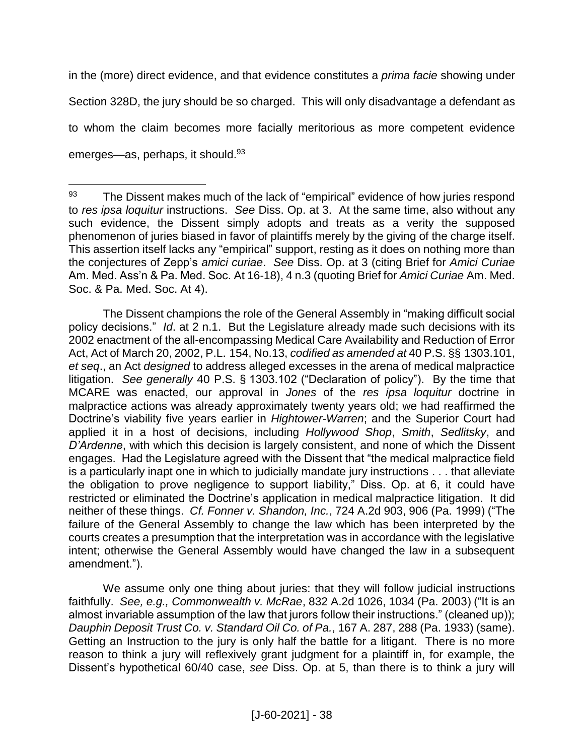in the (more) direct evidence, and that evidence constitutes a *prima facie* showing under Section 328D, the jury should be so charged. This will only disadvantage a defendant as to whom the claim becomes more facially meritorious as more competent evidence emerges—as, perhaps, it should.<sup>93</sup>

 $\overline{a}$ 

The Dissent champions the role of the General Assembly in "making difficult social policy decisions." *Id*. at 2 n.1. But the Legislature already made such decisions with its 2002 enactment of the all-encompassing Medical Care Availability and Reduction of Error Act, Act of March 20, 2002, P.L. 154, No.13, *codified as amended at* 40 P.S. §§ 1303.101, *et seq*., an Act *designed* to address alleged excesses in the arena of medical malpractice litigation. *See generally* 40 P.S. § 1303.102 ("Declaration of policy"). By the time that MCARE was enacted, our approval in *Jones* of the *res ipsa loquitur* doctrine in malpractice actions was already approximately twenty years old; we had reaffirmed the Doctrine's viability five years earlier in *Hightower-Warren*; and the Superior Court had applied it in a host of decisions, including *Hollywood Shop*, *Smith*, *Sedlitsky*, and *D'Ardenne*, with which this decision is largely consistent, and none of which the Dissent engages. Had the Legislature agreed with the Dissent that "the medical malpractice field is a particularly inapt one in which to judicially mandate jury instructions . . . that alleviate the obligation to prove negligence to support liability," Diss. Op. at 6, it could have restricted or eliminated the Doctrine's application in medical malpractice litigation. It did neither of these things. *Cf. Fonner v. Shandon, Inc.*, 724 A.2d 903, 906 (Pa. 1999) ("The failure of the General Assembly to change the law which has been interpreted by the courts creates a presumption that the interpretation was in accordance with the legislative intent; otherwise the General Assembly would have changed the law in a subsequent amendment.").

We assume only one thing about juries: that they will follow judicial instructions faithfully. *See, e.g., Commonwealth v. McRae*, 832 A.2d 1026, 1034 (Pa. 2003) ("It is an almost invariable assumption of the law that jurors follow their instructions." (cleaned up)); *Dauphin Deposit Trust Co. v. Standard Oil Co. of Pa.*, 167 A. 287, 288 (Pa. 1933) (same). Getting an Instruction to the jury is only half the battle for a litigant. There is no more reason to think a jury will reflexively grant judgment for a plaintiff in, for example, the Dissent's hypothetical 60/40 case, *see* Diss. Op. at 5, than there is to think a jury will

 $93$  The Dissent makes much of the lack of "empirical" evidence of how juries respond to *res ipsa loquitur* instructions. *See* Diss. Op. at 3. At the same time, also without any such evidence, the Dissent simply adopts and treats as a verity the supposed phenomenon of juries biased in favor of plaintiffs merely by the giving of the charge itself. This assertion itself lacks any "empirical" support, resting as it does on nothing more than the conjectures of Zepp's *amici curiae*. *See* Diss. Op. at 3 (citing Brief for *Amici Curiae* Am. Med. Ass'n & Pa. Med. Soc. At 16-18), 4 n.3 (quoting Brief for *Amici Curiae* Am. Med. Soc. & Pa. Med. Soc. At 4).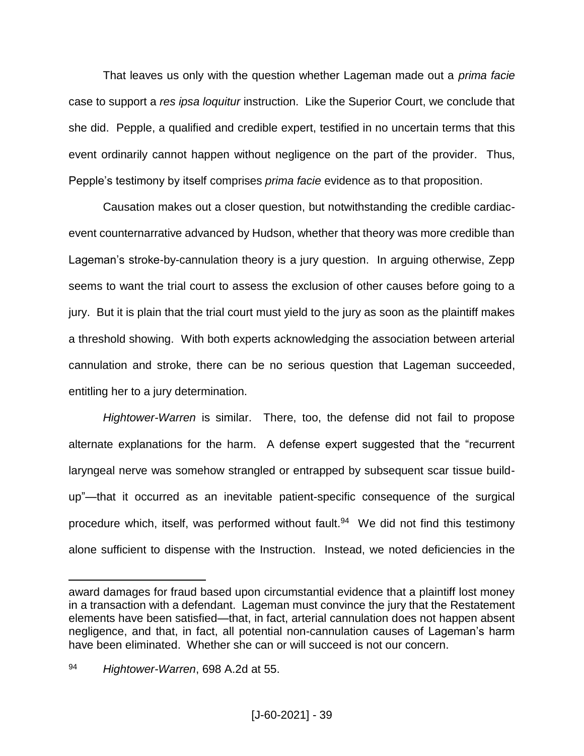That leaves us only with the question whether Lageman made out a *prima facie* case to support a *res ipsa loquitur* instruction. Like the Superior Court, we conclude that she did. Pepple, a qualified and credible expert, testified in no uncertain terms that this event ordinarily cannot happen without negligence on the part of the provider. Thus, Pepple's testimony by itself comprises *prima facie* evidence as to that proposition.

Causation makes out a closer question, but notwithstanding the credible cardiacevent counternarrative advanced by Hudson, whether that theory was more credible than Lageman's stroke-by-cannulation theory is a jury question. In arguing otherwise, Zepp seems to want the trial court to assess the exclusion of other causes before going to a jury. But it is plain that the trial court must yield to the jury as soon as the plaintiff makes a threshold showing. With both experts acknowledging the association between arterial cannulation and stroke, there can be no serious question that Lageman succeeded, entitling her to a jury determination.

*Hightower-Warren* is similar. There, too, the defense did not fail to propose alternate explanations for the harm. A defense expert suggested that the "recurrent laryngeal nerve was somehow strangled or entrapped by subsequent scar tissue buildup"—that it occurred as an inevitable patient-specific consequence of the surgical procedure which, itself, was performed without fault.<sup>94</sup> We did not find this testimony alone sufficient to dispense with the Instruction. Instead, we noted deficiencies in the

award damages for fraud based upon circumstantial evidence that a plaintiff lost money in a transaction with a defendant. Lageman must convince the jury that the Restatement elements have been satisfied—that, in fact, arterial cannulation does not happen absent negligence, and that, in fact, all potential non-cannulation causes of Lageman's harm have been eliminated. Whether she can or will succeed is not our concern.

<sup>94</sup> *Hightower-Warren*, 698 A.2d at 55.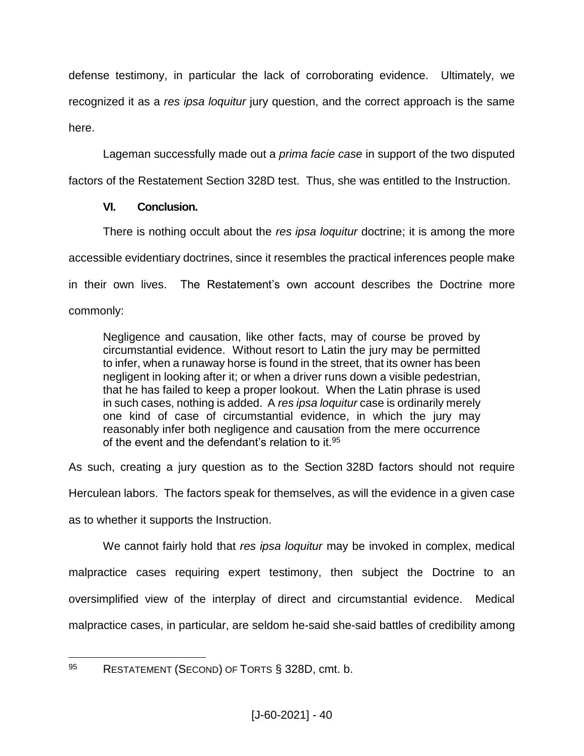defense testimony, in particular the lack of corroborating evidence. Ultimately, we recognized it as a *res ipsa loquitur* jury question, and the correct approach is the same here.

Lageman successfully made out a *prima facie case* in support of the two disputed

factors of the Restatement Section 328D test. Thus, she was entitled to the Instruction.

# **VI. Conclusion.**

There is nothing occult about the *res ipsa loquitur* doctrine; it is among the more accessible evidentiary doctrines, since it resembles the practical inferences people make in their own lives. The Restatement's own account describes the Doctrine more commonly:

Negligence and causation, like other facts, may of course be proved by circumstantial evidence. Without resort to Latin the jury may be permitted to infer, when a runaway horse is found in the street, that its owner has been negligent in looking after it; or when a driver runs down a visible pedestrian, that he has failed to keep a proper lookout. When the Latin phrase is used in such cases, nothing is added. A *res ipsa loquitur* case is ordinarily merely one kind of case of circumstantial evidence, in which the jury may reasonably infer both negligence and causation from the mere occurrence of the event and the defendant's relation to it.<sup>95</sup>

As such, creating a jury question as to the Section 328D factors should not require

Herculean labors. The factors speak for themselves, as will the evidence in a given case

as to whether it supports the Instruction.

We cannot fairly hold that *res ipsa loquitur* may be invoked in complex, medical malpractice cases requiring expert testimony, then subject the Doctrine to an oversimplified view of the interplay of direct and circumstantial evidence. Medical malpractice cases, in particular, are seldom he-said she-said battles of credibility among

<sup>95</sup> RESTATEMENT (SECOND) OF TORTS § 328D, cmt. b.